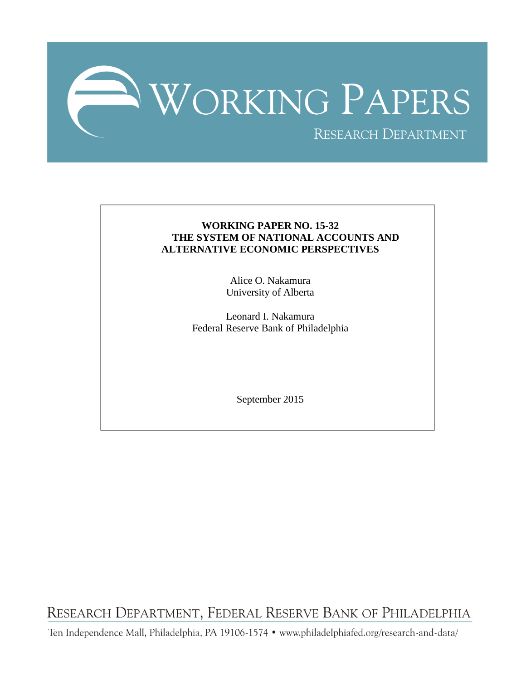

# **WORKING PAPER NO. 15-32 THE SYSTEM OF NATIONAL ACCOUNTS AND ALTERNATIVE ECONOMIC PERSPECTIVES**

Alice O. Nakamura University of Alberta

Leonard I. Nakamura Federal Reserve Bank of Philadelphia

September 2015

RESEARCH DEPARTMENT, FEDERAL RESERVE BANK OF PHILADELPHIA

Ten Independence Mall, Philadelphia, PA 19106-1574 · www.philadelphiafed.org/research-and-data/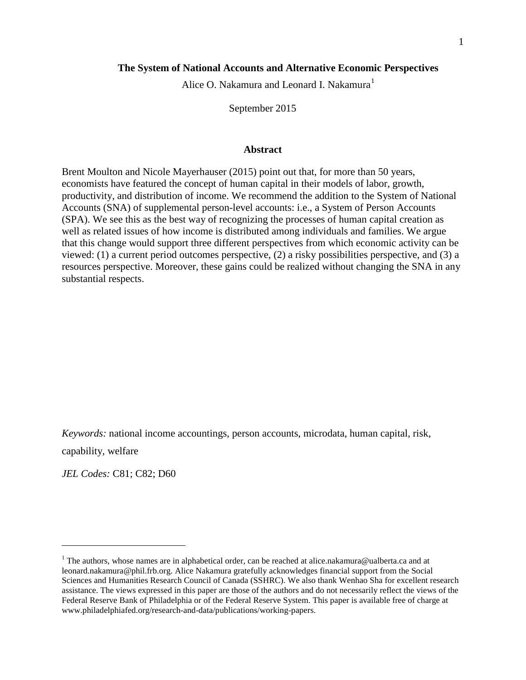# **The System of National Accounts and Alternative Economic Perspectives**

Alice O. Nakamura and Leonard I. Nakamura<sup>[1](#page-1-0)</sup>

September 2015

#### **Abstract**

Brent Moulton and Nicole Mayerhauser (2015) point out that, for more than 50 years, economists have featured the concept of human capital in their models of labor, growth, productivity, and distribution of income. We recommend the addition to the System of National Accounts (SNA) of supplemental person-level accounts: i.e., a System of Person Accounts (SPA). We see this as the best way of recognizing the processes of human capital creation as well as related issues of how income is distributed among individuals and families. We argue that this change would support three different perspectives from which economic activity can be viewed: (1) a current period outcomes perspective, (2) a risky possibilities perspective, and (3) a resources perspective. Moreover, these gains could be realized without changing the SNA in any substantial respects.

*Keywords:* national income accountings, person accounts, microdata, human capital, risk,

capability, welfare

 $\overline{a}$ 

*JEL Codes:* C81; C82; D60

<span id="page-1-0"></span><sup>&</sup>lt;sup>1</sup> The authors, whose names are in alphabetical order, can be reached at alice.nakamura@ualberta.ca and at leonard.nakamura@phil.frb.org. Alice Nakamura gratefully acknowledges financial support from the Social Sciences and Humanities Research Council of Canada (SSHRC). We also thank Wenhao Sha for excellent research assistance. The views expressed in this paper are those of the authors and do not necessarily reflect the views of the Federal Reserve Bank of Philadelphia or of the Federal Reserve System. This paper is available free of charge at www.philadelphiafed.org/research-and-data/publications/working-papers.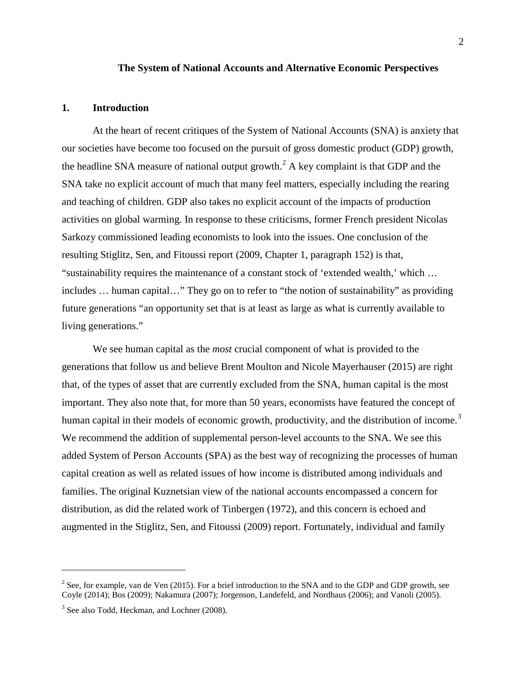#### **The System of National Accounts and Alternative Economic Perspectives**

#### **1. Introduction**

At the heart of recent critiques of the System of National Accounts (SNA) is anxiety that our societies have become too focused on the pursuit of gross domestic product (GDP) growth, the headline SNA measure of national output growth.<sup>[2](#page-2-0)</sup> A key complaint is that GDP and the SNA take no explicit account of much that many feel matters, especially including the rearing and teaching of children. GDP also takes no explicit account of the impacts of production activities on global warming. In response to these criticisms, former French president Nicolas Sarkozy commissioned leading economists to look into the issues. One conclusion of the resulting Stiglitz, Sen, and Fitoussi report (2009, Chapter 1, paragraph 152) is that, "sustainability requires the maintenance of a constant stock of 'extended wealth,' which … includes … human capital…" They go on to refer to "the notion of sustainability" as providing future generations "an opportunity set that is at least as large as what is currently available to living generations."

We see human capital as the *most* crucial component of what is provided to the generations that follow us and believe Brent Moulton and Nicole Mayerhauser (2015) are right that, of the types of asset that are currently excluded from the SNA, human capital is the most important. They also note that, for more than 50 years, economists have featured the concept of human capital in their models of economic growth, productivity, and the distribution of income.<sup>[3](#page-2-1)</sup> We recommend the addition of supplemental person-level accounts to the SNA. We see this added System of Person Accounts (SPA) as the best way of recognizing the processes of human capital creation as well as related issues of how income is distributed among individuals and families. The original Kuznetsian view of the national accounts encompassed a concern for distribution, as did the related work of Tinbergen (1972), and this concern is echoed and augmented in the Stiglitz, Sen, and Fitoussi (2009) report. Fortunately, individual and family

<span id="page-2-0"></span><sup>&</sup>lt;sup>2</sup> See, for example, van de Ven (2015). For a brief introduction to the SNA and to the GDP and GDP growth, see Coyle (2014); Bos (2009); Nakamura (2007); Jorgenson, Landefeld, and Nordhaus (2006); and Vanoli (2005).

<span id="page-2-1"></span><sup>&</sup>lt;sup>3</sup> See also Todd, Heckman, and Lochner (2008).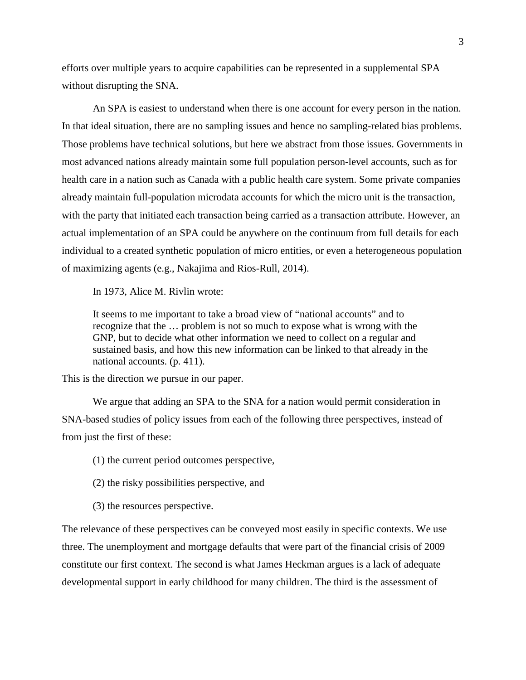efforts over multiple years to acquire capabilities can be represented in a supplemental SPA without disrupting the SNA.

An SPA is easiest to understand when there is one account for every person in the nation. In that ideal situation, there are no sampling issues and hence no sampling-related bias problems. Those problems have technical solutions, but here we abstract from those issues. Governments in most advanced nations already maintain some full population person-level accounts, such as for health care in a nation such as Canada with a public health care system. Some private companies already maintain full-population microdata accounts for which the micro unit is the transaction, with the party that initiated each transaction being carried as a transaction attribute. However, an actual implementation of an SPA could be anywhere on the continuum from full details for each individual to a created synthetic population of micro entities, or even a heterogeneous population of maximizing agents (e.g., Nakajima and Rios-Rull, 2014).

In 1973, Alice M. Rivlin wrote:

It seems to me important to take a broad view of "national accounts" and to recognize that the … problem is not so much to expose what is wrong with the GNP, but to decide what other information we need to collect on a regular and sustained basis, and how this new information can be linked to that already in the national accounts. (p. 411).

This is the direction we pursue in our paper.

We argue that adding an SPA to the SNA for a nation would permit consideration in SNA-based studies of policy issues from each of the following three perspectives, instead of from just the first of these:

(1) the current period outcomes perspective,

- (2) the risky possibilities perspective, and
- (3) the resources perspective.

The relevance of these perspectives can be conveyed most easily in specific contexts. We use three. The unemployment and mortgage defaults that were part of the financial crisis of 2009 constitute our first context. The second is what James Heckman argues is a lack of adequate developmental support in early childhood for many children. The third is the assessment of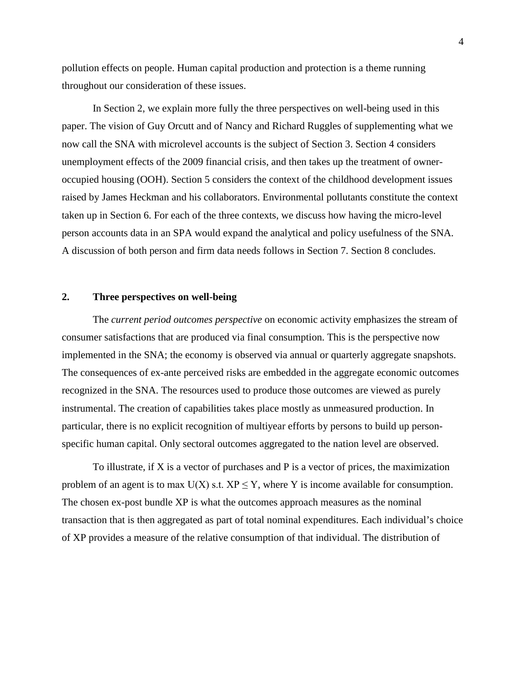pollution effects on people. Human capital production and protection is a theme running throughout our consideration of these issues.

In Section 2, we explain more fully the three perspectives on well-being used in this paper. The vision of Guy Orcutt and of Nancy and Richard Ruggles of supplementing what we now call the SNA with microlevel accounts is the subject of Section 3. Section 4 considers unemployment effects of the 2009 financial crisis, and then takes up the treatment of owneroccupied housing (OOH). Section 5 considers the context of the childhood development issues raised by James Heckman and his collaborators. Environmental pollutants constitute the context taken up in Section 6. For each of the three contexts, we discuss how having the micro-level person accounts data in an SPA would expand the analytical and policy usefulness of the SNA. A discussion of both person and firm data needs follows in Section 7. Section 8 concludes.

## **2. Three perspectives on well-being**

The *current period outcomes perspective* on economic activity emphasizes the stream of consumer satisfactions that are produced via final consumption. This is the perspective now implemented in the SNA; the economy is observed via annual or quarterly aggregate snapshots. The consequences of ex-ante perceived risks are embedded in the aggregate economic outcomes recognized in the SNA. The resources used to produce those outcomes are viewed as purely instrumental. The creation of capabilities takes place mostly as unmeasured production. In particular, there is no explicit recognition of multiyear efforts by persons to build up personspecific human capital. Only sectoral outcomes aggregated to the nation level are observed.

To illustrate, if  $X$  is a vector of purchases and  $P$  is a vector of prices, the maximization problem of an agent is to max  $U(X)$  s.t.  $XP \leq Y$ , where Y is income available for consumption. The chosen ex-post bundle XP is what the outcomes approach measures as the nominal transaction that is then aggregated as part of total nominal expenditures. Each individual's choice of XP provides a measure of the relative consumption of that individual. The distribution of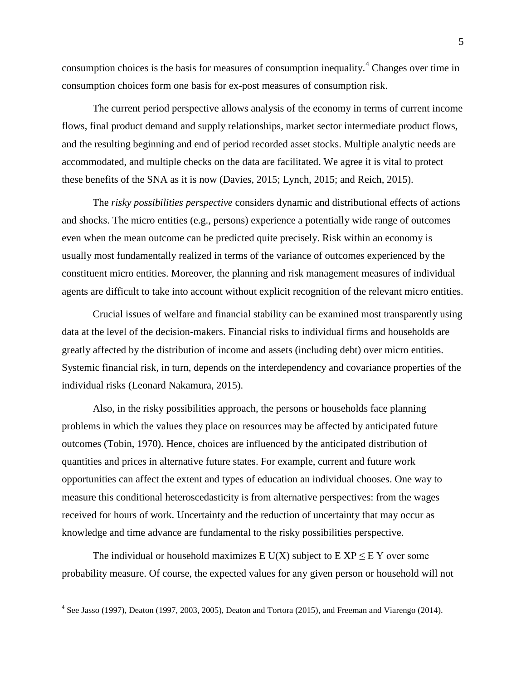consumption choices is the basis for measures of consumption inequality.<sup>[4](#page-5-0)</sup> Changes over time in consumption choices form one basis for ex-post measures of consumption risk.

The current period perspective allows analysis of the economy in terms of current income flows, final product demand and supply relationships, market sector intermediate product flows, and the resulting beginning and end of period recorded asset stocks. Multiple analytic needs are accommodated, and multiple checks on the data are facilitated. We agree it is vital to protect these benefits of the SNA as it is now (Davies, 2015; Lynch, 2015; and Reich, 2015).

The *risky possibilities perspective* considers dynamic and distributional effects of actions and shocks. The micro entities (e.g., persons) experience a potentially wide range of outcomes even when the mean outcome can be predicted quite precisely. Risk within an economy is usually most fundamentally realized in terms of the variance of outcomes experienced by the constituent micro entities. Moreover, the planning and risk management measures of individual agents are difficult to take into account without explicit recognition of the relevant micro entities.

Crucial issues of welfare and financial stability can be examined most transparently using data at the level of the decision-makers. Financial risks to individual firms and households are greatly affected by the distribution of income and assets (including debt) over micro entities. Systemic financial risk, in turn, depends on the interdependency and covariance properties of the individual risks (Leonard Nakamura, 2015).

Also, in the risky possibilities approach, the persons or households face planning problems in which the values they place on resources may be affected by anticipated future outcomes (Tobin, 1970). Hence, choices are influenced by the anticipated distribution of quantities and prices in alternative future states. For example, current and future work opportunities can affect the extent and types of education an individual chooses. One way to measure this conditional heteroscedasticity is from alternative perspectives: from the wages received for hours of work. Uncertainty and the reduction of uncertainty that may occur as knowledge and time advance are fundamental to the risky possibilities perspective.

The individual or household maximizes E U(X) subject to  $E XP \leq E Y$  over some probability measure. Of course, the expected values for any given person or household will not

<span id="page-5-0"></span><sup>4</sup> See Jasso (1997), Deaton (1997, 2003, 2005), Deaton and Tortora (2015), and Freeman and Viarengo (2014).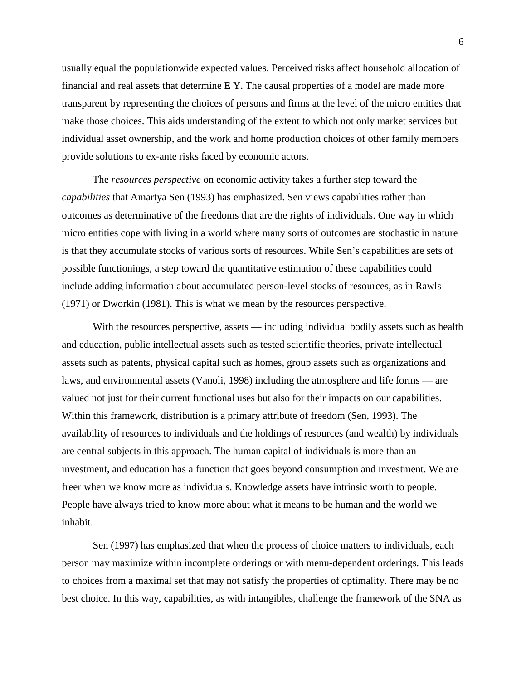usually equal the populationwide expected values. Perceived risks affect household allocation of financial and real assets that determine E Y. The causal properties of a model are made more transparent by representing the choices of persons and firms at the level of the micro entities that make those choices. This aids understanding of the extent to which not only market services but individual asset ownership, and the work and home production choices of other family members provide solutions to ex-ante risks faced by economic actors.

The *resources perspective* on economic activity takes a further step toward the *capabilities* that Amartya Sen (1993) has emphasized. Sen views capabilities rather than outcomes as determinative of the freedoms that are the rights of individuals. One way in which micro entities cope with living in a world where many sorts of outcomes are stochastic in nature is that they accumulate stocks of various sorts of resources. While Sen's capabilities are sets of possible functionings, a step toward the quantitative estimation of these capabilities could include adding information about accumulated person-level stocks of resources, as in Rawls (1971) or Dworkin (1981). This is what we mean by the resources perspective.

With the resources perspective, assets — including individual bodily assets such as health and education, public intellectual assets such as tested scientific theories, private intellectual assets such as patents, physical capital such as homes, group assets such as organizations and laws, and environmental assets (Vanoli, 1998) including the atmosphere and life forms — are valued not just for their current functional uses but also for their impacts on our capabilities. Within this framework, distribution is a primary attribute of freedom (Sen, 1993). The availability of resources to individuals and the holdings of resources (and wealth) by individuals are central subjects in this approach. The human capital of individuals is more than an investment, and education has a function that goes beyond consumption and investment. We are freer when we know more as individuals. Knowledge assets have intrinsic worth to people. People have always tried to know more about what it means to be human and the world we inhabit.

Sen (1997) has emphasized that when the process of choice matters to individuals, each person may maximize within incomplete orderings or with menu-dependent orderings. This leads to choices from a maximal set that may not satisfy the properties of optimality. There may be no best choice. In this way, capabilities, as with intangibles, challenge the framework of the SNA as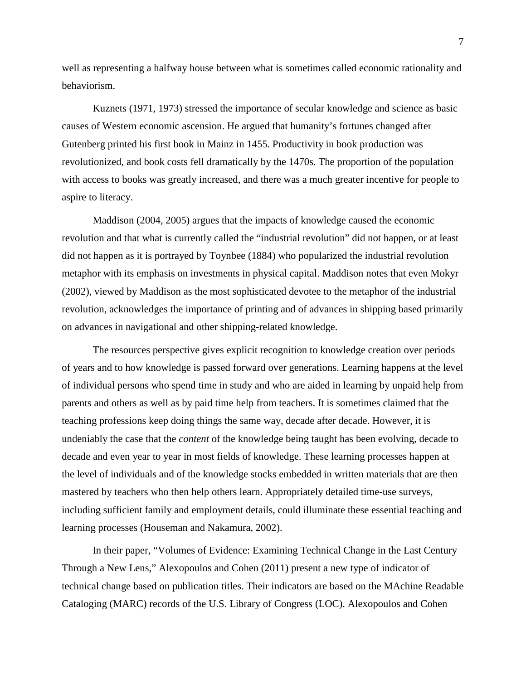well as representing a halfway house between what is sometimes called economic rationality and behaviorism.

Kuznets (1971, 1973) stressed the importance of secular knowledge and science as basic causes of Western economic ascension. He argued that humanity's fortunes changed after Gutenberg printed his first book in Mainz in 1455. Productivity in book production was revolutionized, and book costs fell dramatically by the 1470s. The proportion of the population with access to books was greatly increased, and there was a much greater incentive for people to aspire to literacy.

Maddison (2004, 2005) argues that the impacts of knowledge caused the economic revolution and that what is currently called the "industrial revolution" did not happen, or at least did not happen as it is portrayed by Toynbee (1884) who popularized the industrial revolution metaphor with its emphasis on investments in physical capital. Maddison notes that even Mokyr (2002), viewed by Maddison as the most sophisticated devotee to the metaphor of the industrial revolution, acknowledges the importance of printing and of advances in shipping based primarily on advances in navigational and other shipping-related knowledge.

The resources perspective gives explicit recognition to knowledge creation over periods of years and to how knowledge is passed forward over generations. Learning happens at the level of individual persons who spend time in study and who are aided in learning by unpaid help from parents and others as well as by paid time help from teachers. It is sometimes claimed that the teaching professions keep doing things the same way, decade after decade. However, it is undeniably the case that the *content* of the knowledge being taught has been evolving, decade to decade and even year to year in most fields of knowledge. These learning processes happen at the level of individuals and of the knowledge stocks embedded in written materials that are then mastered by teachers who then help others learn. Appropriately detailed time-use surveys, including sufficient family and employment details, could illuminate these essential teaching and learning processes (Houseman and Nakamura, 2002).

In their paper, "Volumes of Evidence: Examining Technical Change in the Last Century Through a New Lens," Alexopoulos and Cohen (2011) present a new type of indicator of technical change based on publication titles. Their indicators are based on the MAchine Readable Cataloging (MARC) records of the U.S. Library of Congress (LOC). Alexopoulos and Cohen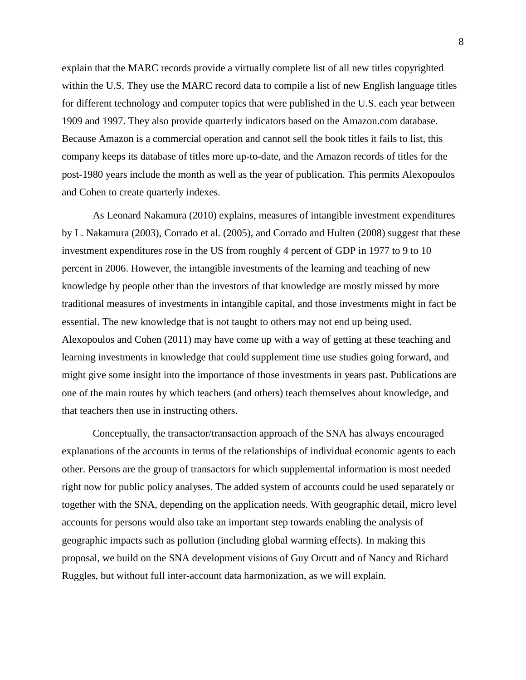explain that the MARC records provide a virtually complete list of all new titles copyrighted within the U.S. They use the MARC record data to compile a list of new English language titles for different technology and computer topics that were published in the U.S. each year between 1909 and 1997. They also provide quarterly indicators based on the Amazon.com database. Because Amazon is a commercial operation and cannot sell the book titles it fails to list, this company keeps its database of titles more up-to-date, and the Amazon records of titles for the post-1980 years include the month as well as the year of publication. This permits Alexopoulos and Cohen to create quarterly indexes.

As Leonard Nakamura (2010) explains, measures of intangible investment expenditures by L. Nakamura (2003), Corrado et al. (2005), and Corrado and Hulten (2008) suggest that these investment expenditures rose in the US from roughly 4 percent of GDP in 1977 to 9 to 10 percent in 2006. However, the intangible investments of the learning and teaching of new knowledge by people other than the investors of that knowledge are mostly missed by more traditional measures of investments in intangible capital, and those investments might in fact be essential. The new knowledge that is not taught to others may not end up being used. Alexopoulos and Cohen (2011) may have come up with a way of getting at these teaching and learning investments in knowledge that could supplement time use studies going forward, and might give some insight into the importance of those investments in years past. Publications are one of the main routes by which teachers (and others) teach themselves about knowledge, and that teachers then use in instructing others.

Conceptually, the transactor/transaction approach of the SNA has always encouraged explanations of the accounts in terms of the relationships of individual economic agents to each other. Persons are the group of transactors for which supplemental information is most needed right now for public policy analyses. The added system of accounts could be used separately or together with the SNA, depending on the application needs. With geographic detail, micro level accounts for persons would also take an important step towards enabling the analysis of geographic impacts such as pollution (including global warming effects). In making this proposal, we build on the SNA development visions of Guy Orcutt and of Nancy and Richard Ruggles, but without full inter-account data harmonization, as we will explain.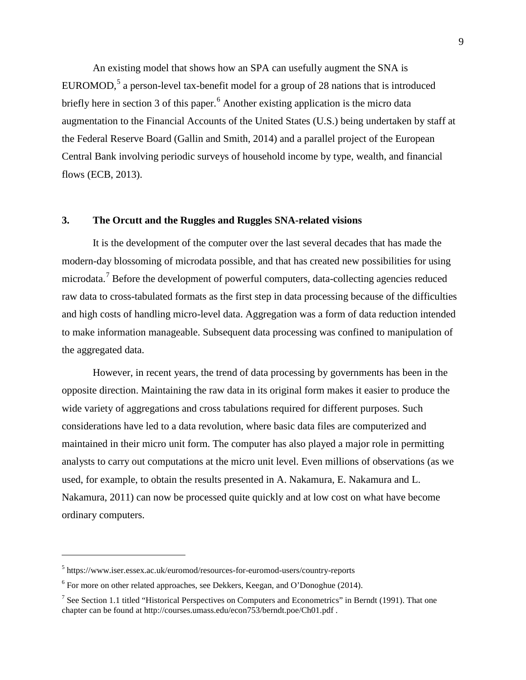An existing model that shows how an SPA can usefully augment the SNA is EUROMOD,<sup>[5](#page-9-0)</sup> a person-level tax-benefit model for a group of 28 nations that is introduced briefly here in section 3 of this paper.<sup>[6](#page-9-1)</sup> Another existing application is the micro data augmentation to the Financial Accounts of the United States (U.S.) being undertaken by staff at the Federal Reserve Board (Gallin and Smith, 2014) and a parallel project of the European Central Bank involving periodic surveys of household income by type, wealth, and financial flows (ECB, 2013).

#### **3. The Orcutt and the Ruggles and Ruggles SNA-related visions**

It is the development of the computer over the last several decades that has made the modern-day blossoming of microdata possible, and that has created new possibilities for using microdata.[7](#page-9-2) Before the development of powerful computers, data-collecting agencies reduced raw data to cross-tabulated formats as the first step in data processing because of the difficulties and high costs of handling micro-level data. Aggregation was a form of data reduction intended to make information manageable. Subsequent data processing was confined to manipulation of the aggregated data.

However, in recent years, the trend of data processing by governments has been in the opposite direction. Maintaining the raw data in its original form makes it easier to produce the wide variety of aggregations and cross tabulations required for different purposes. Such considerations have led to a data revolution, where basic data files are computerized and maintained in their micro unit form. The computer has also played a major role in permitting analysts to carry out computations at the micro unit level. Even millions of observations (as we used, for example, to obtain the results presented in A. Nakamura, E. Nakamura and L. Nakamura, 2011) can now be processed quite quickly and at low cost on what have become ordinary computers.

<span id="page-9-0"></span><sup>5</sup> https://www.iser.essex.ac.uk/euromod/resources-for-euromod-users/country-reports

<span id="page-9-1"></span> $6$  For more on other related approaches, see Dekkers, Keegan, and O'Donoghue (2014).

<span id="page-9-2"></span><sup>&</sup>lt;sup>7</sup> See Section 1.1 titled "Historical Perspectives on Computers and Econometrics" in Berndt (1991). That one chapter can be found at http://courses.umass.edu/econ753/berndt.poe/Ch01.pdf .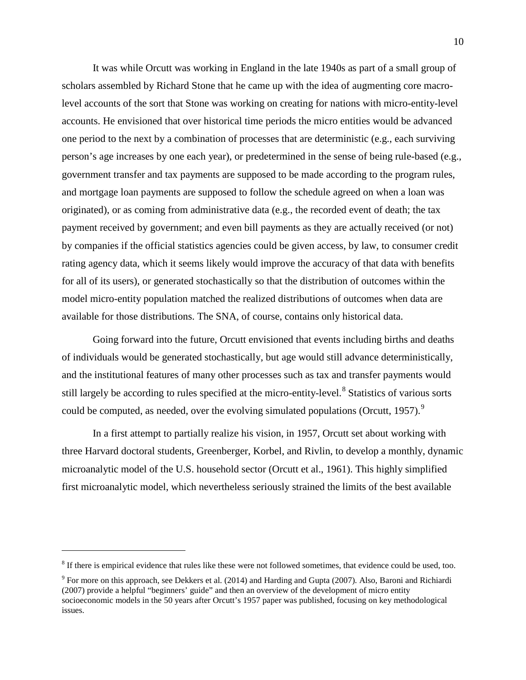It was while Orcutt was working in England in the late 1940s as part of a small group of scholars assembled by Richard Stone that he came up with the idea of augmenting core macrolevel accounts of the sort that Stone was working on creating for nations with micro-entity-level accounts. He envisioned that over historical time periods the micro entities would be advanced one period to the next by a combination of processes that are deterministic (e.g., each surviving person's age increases by one each year), or predetermined in the sense of being rule-based (e.g., government transfer and tax payments are supposed to be made according to the program rules, and mortgage loan payments are supposed to follow the schedule agreed on when a loan was originated), or as coming from administrative data (e.g., the recorded event of death; the tax payment received by government; and even bill payments as they are actually received (or not) by companies if the official statistics agencies could be given access, by law, to consumer credit rating agency data, which it seems likely would improve the accuracy of that data with benefits for all of its users), or generated stochastically so that the distribution of outcomes within the model micro-entity population matched the realized distributions of outcomes when data are available for those distributions. The SNA, of course, contains only historical data.

Going forward into the future, Orcutt envisioned that events including births and deaths of individuals would be generated stochastically, but age would still advance deterministically, and the institutional features of many other processes such as tax and transfer payments would still largely be according to rules specified at the micro-entity-level.<sup>[8](#page-10-0)</sup> Statistics of various sorts could be computed, as needed, over the evolving simulated populations (Orcutt, 1[9](#page-10-1)57).<sup>9</sup>

In a first attempt to partially realize his vision, in 1957, Orcutt set about working with three Harvard doctoral students, Greenberger, Korbel, and Rivlin, to develop a monthly, dynamic microanalytic model of the U.S. household sector (Orcutt et al., 1961). This highly simplified first microanalytic model, which nevertheless seriously strained the limits of the best available

<span id="page-10-0"></span> $8$  If there is empirical evidence that rules like these were not followed sometimes, that evidence could be used, too.

<span id="page-10-1"></span><sup>9</sup> For more on this approach, see Dekkers et al. (2014) and Harding and Gupta (2007). Also, Baroni and Richiardi (2007) provide a helpful "beginners' guide" and then an overview of the development of micro entity socioeconomic models in the 50 years after Orcutt's 1957 paper was published, focusing on key methodological issues.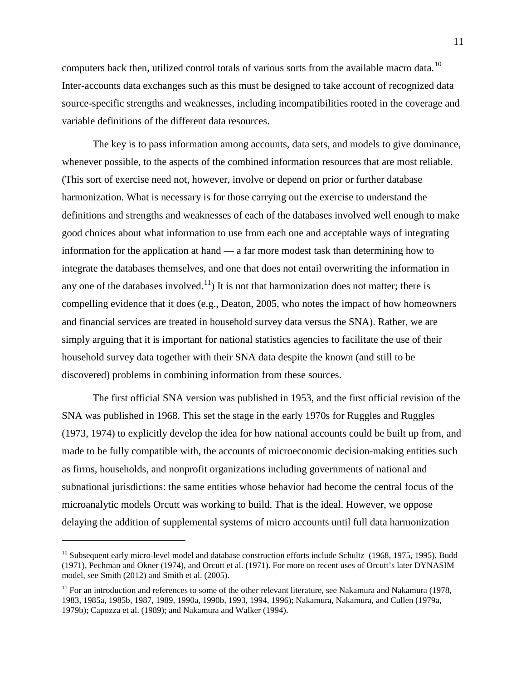computers back then, utilized control totals of various sorts from the available macro data.<sup>[10](#page-11-0)</sup> Inter-accounts data exchanges such as this must be designed to take account of recognized data source-specific strengths and weaknesses, including incompatibilities rooted in the coverage and variable definitions of the different data resources.

The key is to pass information among accounts, data sets, and models to give dominance, whenever possible, to the aspects of the combined information resources that are most reliable. (This sort of exercise need not, however, involve or depend on prior or further database harmonization. What is necessary is for those carrying out the exercise to understand the definitions and strengths and weaknesses of each of the databases involved well enough to make good choices about what information to use from each one and acceptable ways of integrating information for the application at hand — a far more modest task than determining how to integrate the databases themselves, and one that does not entail overwriting the information in any one of the databases involved.<sup>11</sup>) It is not that harmonization does not matter; there is compelling evidence that it does (e.g., Deaton, 2005, who notes the impact of how homeowners and financial services are treated in household survey data versus the SNA). Rather, we are simply arguing that it is important for national statistics agencies to facilitate the use of their household survey data together with their SNA data despite the known (and still to be discovered) problems in combining information from these sources.

The first official SNA version was published in 1953, and the first official revision of the SNA was published in 1968. This set the stage in the early 1970s for Ruggles and Ruggles (1973, 1974) to explicitly develop the idea for how national accounts could be built up from, and made to be fully compatible with, the accounts of microeconomic decision-making entities such as firms, households, and nonprofit organizations including governments of national and subnational jurisdictions: the same entities whose behavior had become the central focus of the microanalytic models Orcutt was working to build. That is the ideal. However, we oppose delaying the addition of supplemental systems of micro accounts until full data harmonization

<span id="page-11-0"></span> $10$  Subsequent early micro-level model and database construction efforts include Schultz (1968, 1975, 1995), Budd (1971), Pechman and Okner (1974), and Orcutt et al. (1971). For more on recent uses of Orcutt's later DYNASIM model, see Smith (2012) and Smith et al. (2005).

<span id="page-11-1"></span> $11$  For an introduction and references to some of the other relevant literature, see Nakamura and Nakamura (1978, 1983, 1985a, 1985b, 1987, 1989, 1990a, 1990b, 1993, 1994, 1996); Nakamura, Nakamura, and Cullen (1979a, 1979b); Capozza et al. (1989); and Nakamura and Walker (1994).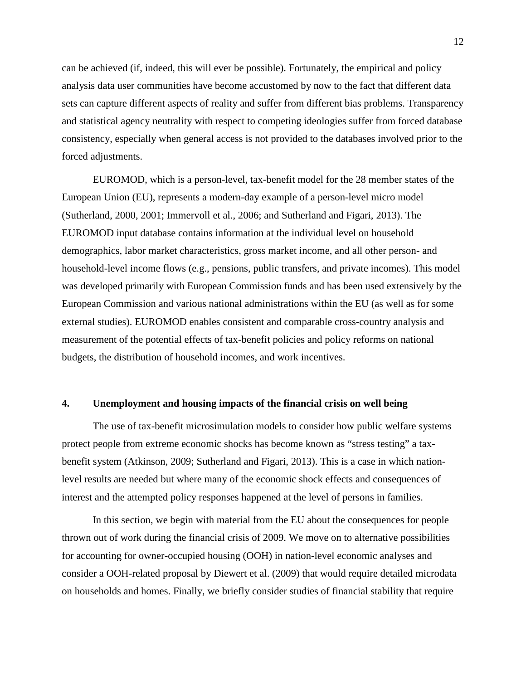can be achieved (if, indeed, this will ever be possible). Fortunately, the empirical and policy analysis data user communities have become accustomed by now to the fact that different data sets can capture different aspects of reality and suffer from different bias problems. Transparency and statistical agency neutrality with respect to competing ideologies suffer from forced database consistency, especially when general access is not provided to the databases involved prior to the forced adjustments.

EUROMOD, which is a person-level, tax-benefit model for the 28 member states of the European Union (EU), represents a modern-day example of a person-level micro model (Sutherland, 2000, 2001; Immervoll et al., 2006; and Sutherland and Figari, 2013). The EUROMOD input database contains information at the individual level on household demographics, labor market characteristics, gross market income, and all other person- and household-level income flows (e.g., pensions, public transfers, and private incomes). This model was developed primarily with European Commission funds and has been used extensively by the European Commission and various national administrations within the EU (as well as for some external studies). EUROMOD enables consistent and comparable cross-country analysis and measurement of the potential effects of tax-benefit policies and policy reforms on national budgets, the distribution of household incomes, and work incentives.

## **4. Unemployment and housing impacts of the financial crisis on well being**

The use of tax-benefit microsimulation models to consider how public welfare systems protect people from extreme economic shocks has become known as "stress testing" a taxbenefit system (Atkinson, 2009; Sutherland and Figari, 2013). This is a case in which nationlevel results are needed but where many of the economic shock effects and consequences of interest and the attempted policy responses happened at the level of persons in families.

In this section, we begin with material from the EU about the consequences for people thrown out of work during the financial crisis of 2009. We move on to alternative possibilities for accounting for owner-occupied housing (OOH) in nation-level economic analyses and consider a OOH-related proposal by Diewert et al. (2009) that would require detailed microdata on households and homes. Finally, we briefly consider studies of financial stability that require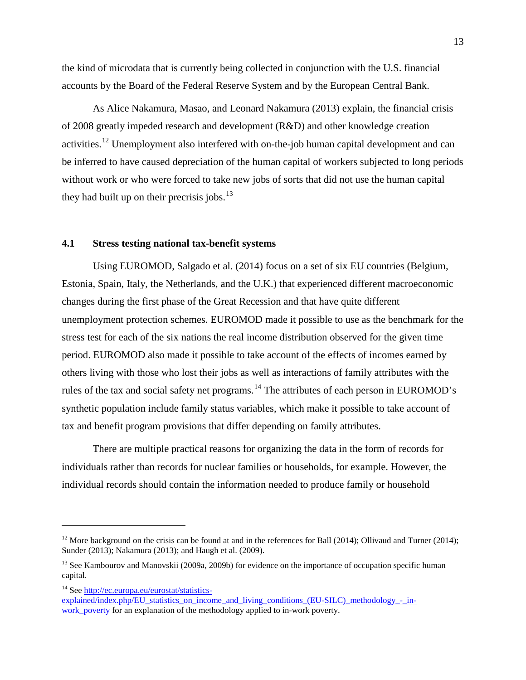the kind of microdata that is currently being collected in conjunction with the U.S. financial accounts by the Board of the Federal Reserve System and by the European Central Bank.

As Alice Nakamura, Masao, and Leonard Nakamura (2013) explain, the financial crisis of 2008 greatly impeded research and development (R&D) and other knowledge creation activities.<sup>[12](#page-13-0)</sup> Unemployment also interfered with on-the-job human capital development and can be inferred to have caused depreciation of the human capital of workers subjected to long periods without work or who were forced to take new jobs of sorts that did not use the human capital they had built up on their precrisis jobs.<sup>[13](#page-13-1)</sup>

## **4.1 Stress testing national tax-benefit systems**

Using EUROMOD, Salgado et al. (2014) focus on a set of six EU countries (Belgium, Estonia, Spain, Italy, the Netherlands, and the U.K.) that experienced different macroeconomic changes during the first phase of the Great Recession and that have quite different unemployment protection schemes. EUROMOD made it possible to use as the benchmark for the stress test for each of the six nations the real income distribution observed for the given time period. EUROMOD also made it possible to take account of the effects of incomes earned by others living with those who lost their jobs as well as interactions of family attributes with the rules of the tax and social safety net programs.<sup>[14](#page-13-2)</sup> The attributes of each person in EUROMOD's synthetic population include family status variables, which make it possible to take account of tax and benefit program provisions that differ depending on family attributes.

There are multiple practical reasons for organizing the data in the form of records for individuals rather than records for nuclear families or households, for example. However, the individual records should contain the information needed to produce family or household

<span id="page-13-0"></span><sup>&</sup>lt;sup>12</sup> More background on the crisis can be found at and in the references for Ball (2014); Ollivaud and Turner (2014); Sunder (2013); Nakamura (2013); and Haugh et al. (2009).

<span id="page-13-1"></span><sup>&</sup>lt;sup>13</sup> See Kambourov and Manovskii (2009a, 2009b) for evidence on the importance of occupation specific human capital.

<span id="page-13-2"></span><sup>14</sup> See [http://ec.europa.eu/eurostat/statistics-](http://ec.europa.eu/eurostat/statistics-explained/index.php/EU_statistics_on_income_and_living_conditions_(EU-SILC)_methodology_-_in-work_poverty)

[explained/index.php/EU\\_statistics\\_on\\_income\\_and\\_living\\_conditions\\_\(EU-SILC\)\\_methodology\\_-\\_in](http://ec.europa.eu/eurostat/statistics-explained/index.php/EU_statistics_on_income_and_living_conditions_(EU-SILC)_methodology_-_in-work_poverty)work poverty for an explanation of the methodology applied to in-work poverty.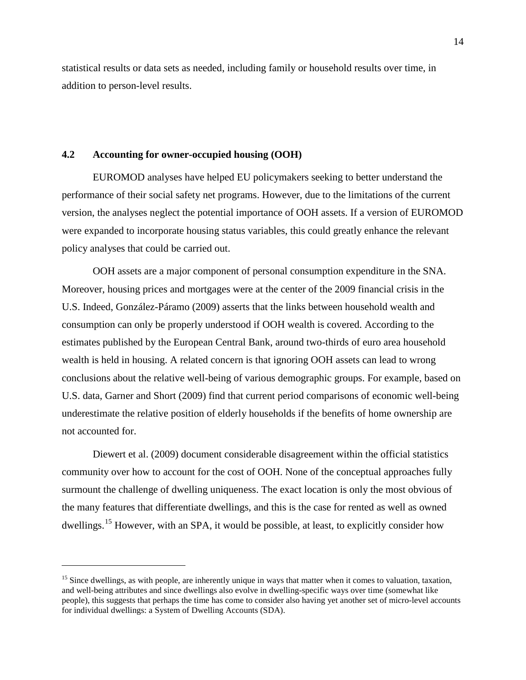statistical results or data sets as needed, including family or household results over time, in addition to person-level results.

# **4.2 Accounting for owner-occupied housing (OOH)**

 $\overline{a}$ 

EUROMOD analyses have helped EU policymakers seeking to better understand the performance of their social safety net programs. However, due to the limitations of the current version, the analyses neglect the potential importance of OOH assets. If a version of EUROMOD were expanded to incorporate housing status variables, this could greatly enhance the relevant policy analyses that could be carried out.

OOH assets are a major component of personal consumption expenditure in the SNA. Moreover, housing prices and mortgages were at the center of the 2009 financial crisis in the U.S. Indeed, González-Páramo (2009) asserts that the links between household wealth and consumption can only be properly understood if OOH wealth is covered. According to the estimates published by the European Central Bank, around two-thirds of euro area household wealth is held in housing. A related concern is that ignoring OOH assets can lead to wrong conclusions about the relative well-being of various demographic groups. For example, based on U.S. data, Garner and Short (2009) find that current period comparisons of economic well-being underestimate the relative position of elderly households if the benefits of home ownership are not accounted for.

Diewert et al. (2009) document considerable disagreement within the official statistics community over how to account for the cost of OOH. None of the conceptual approaches fully surmount the challenge of dwelling uniqueness. The exact location is only the most obvious of the many features that differentiate dwellings, and this is the case for rented as well as owned dwellings.<sup>[15](#page-14-0)</sup> However, with an SPA, it would be possible, at least, to explicitly consider how

<span id="page-14-0"></span> $15$  Since dwellings, as with people, are inherently unique in ways that matter when it comes to valuation, taxation, and well-being attributes and since dwellings also evolve in dwelling-specific ways over time (somewhat like people), this suggests that perhaps the time has come to consider also having yet another set of micro-level accounts for individual dwellings: a System of Dwelling Accounts (SDA).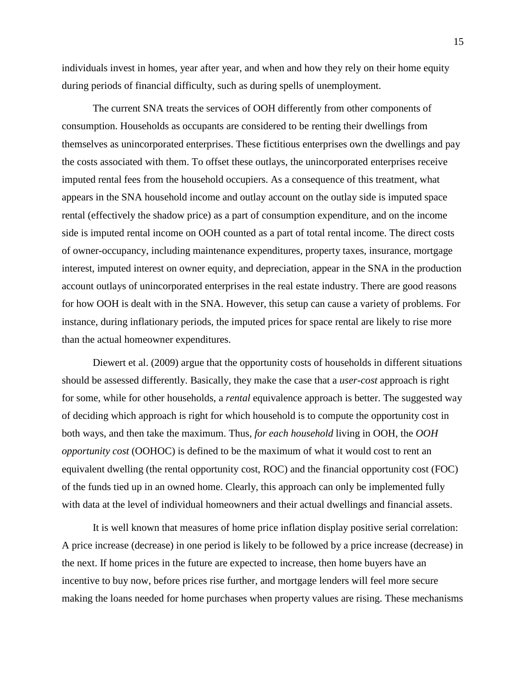individuals invest in homes, year after year, and when and how they rely on their home equity during periods of financial difficulty, such as during spells of unemployment.

The current SNA treats the services of OOH differently from other components of consumption. Households as occupants are considered to be renting their dwellings from themselves as unincorporated enterprises. These fictitious enterprises own the dwellings and pay the costs associated with them. To offset these outlays, the unincorporated enterprises receive imputed rental fees from the household occupiers. As a consequence of this treatment, what appears in the SNA household income and outlay account on the outlay side is imputed space rental (effectively the shadow price) as a part of consumption expenditure, and on the income side is imputed rental income on OOH counted as a part of total rental income. The direct costs of owner-occupancy, including maintenance expenditures, property taxes, insurance, mortgage interest, imputed interest on owner equity, and depreciation, appear in the SNA in the production account outlays of unincorporated enterprises in the real estate industry. There are good reasons for how OOH is dealt with in the SNA. However, this setup can cause a variety of problems. For instance, during inflationary periods, the imputed prices for space rental are likely to rise more than the actual homeowner expenditures.

Diewert et al. (2009) argue that the opportunity costs of households in different situations should be assessed differently. Basically, they make the case that a *user-cost* approach is right for some, while for other households, a *rental* equivalence approach is better. The suggested way of deciding which approach is right for which household is to compute the opportunity cost in both ways, and then take the maximum. Thus, *for each household* living in OOH, the *OOH opportunity cost* (OOHOC) is defined to be the maximum of what it would cost to rent an equivalent dwelling (the rental opportunity cost, ROC) and the financial opportunity cost (FOC) of the funds tied up in an owned home. Clearly, this approach can only be implemented fully with data at the level of individual homeowners and their actual dwellings and financial assets.

It is well known that measures of home price inflation display positive serial correlation: A price increase (decrease) in one period is likely to be followed by a price increase (decrease) in the next. If home prices in the future are expected to increase, then home buyers have an incentive to buy now, before prices rise further, and mortgage lenders will feel more secure making the loans needed for home purchases when property values are rising. These mechanisms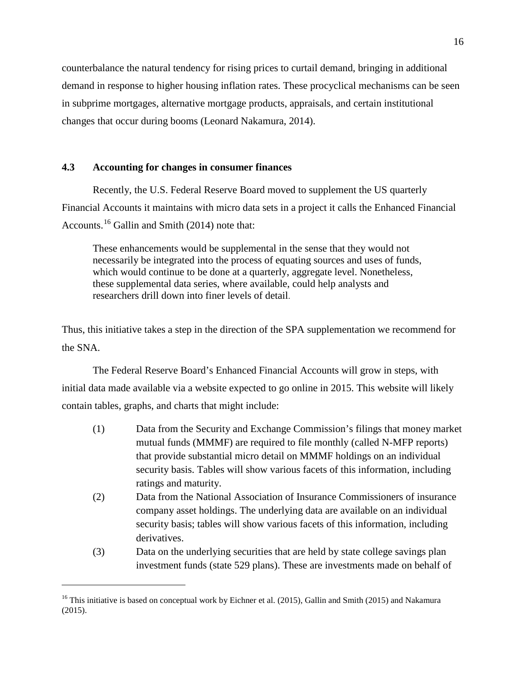counterbalance the natural tendency for rising prices to curtail demand, bringing in additional demand in response to higher housing inflation rates. These procyclical mechanisms can be seen in subprime mortgages, alternative mortgage products, appraisals, and certain institutional changes that occur during booms (Leonard Nakamura, 2014).

# **4.3 Accounting for changes in consumer finances**

Recently, the U.S. Federal Reserve Board moved to supplement the US quarterly Financial Accounts it maintains with micro data sets in a project it calls the Enhanced Financial Accounts.<sup>[16](#page-16-0)</sup> Gallin and Smith (2014) note that:

These enhancements would be supplemental in the sense that they would not necessarily be integrated into the process of equating sources and uses of funds, which would continue to be done at a quarterly, aggregate level. Nonetheless, these supplemental data series, where available, could help analysts and researchers drill down into finer levels of detail.

Thus, this initiative takes a step in the direction of the SPA supplementation we recommend for the SNA.

The Federal Reserve Board's Enhanced Financial Accounts will grow in steps, with initial data made available via a website expected to go online in 2015. This website will likely contain tables, graphs, and charts that might include:

- (1) Data from the Security and Exchange Commission's filings that money market mutual funds (MMMF) are required to file monthly (called N-MFP reports) that provide substantial micro detail on MMMF holdings on an individual security basis. Tables will show various facets of this information, including ratings and maturity.
- (2) Data from the National Association of Insurance Commissioners of insurance company asset holdings. The underlying data are available on an individual security basis; tables will show various facets of this information, including derivatives.
- (3) Data on the underlying securities that are held by state college savings plan investment funds (state 529 plans). These are investments made on behalf of

<span id="page-16-0"></span><sup>&</sup>lt;sup>16</sup> This initiative is based on conceptual work by Eichner et al. (2015), Gallin and Smith (2015) and Nakamura (2015).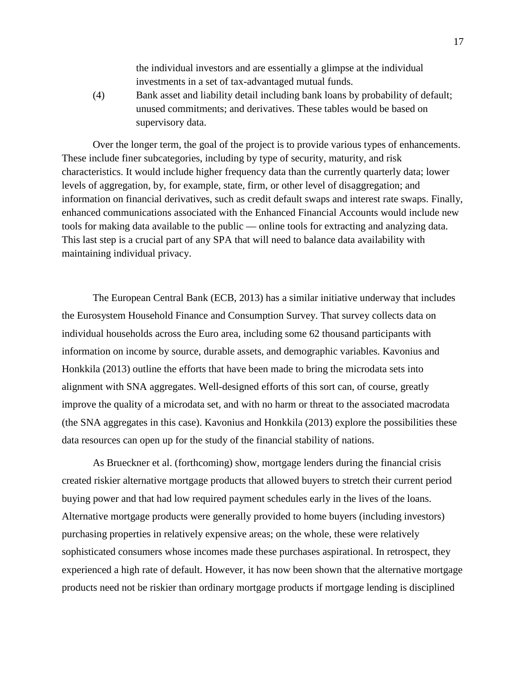the individual investors and are essentially a glimpse at the individual investments in a set of tax-advantaged mutual funds.

(4) Bank asset and liability detail including bank loans by probability of default; unused commitments; and derivatives. These tables would be based on supervisory data.

Over the longer term, the goal of the project is to provide various types of enhancements. These include finer subcategories, including by type of security, maturity, and risk characteristics. It would include higher frequency data than the currently quarterly data; lower levels of aggregation, by, for example, state, firm, or other level of disaggregation; and information on financial derivatives, such as credit default swaps and interest rate swaps. Finally, enhanced communications associated with the Enhanced Financial Accounts would include new tools for making data available to the public — online tools for extracting and analyzing data. This last step is a crucial part of any SPA that will need to balance data availability with maintaining individual privacy.

The European Central Bank (ECB, 2013) has a similar initiative underway that includes the Eurosystem Household Finance and Consumption Survey. That survey collects data on individual households across the Euro area, including some 62 thousand participants with information on income by source, durable assets, and demographic variables. Kavonius and Honkkila (2013) outline the efforts that have been made to bring the microdata sets into alignment with SNA aggregates. Well-designed efforts of this sort can, of course, greatly improve the quality of a microdata set, and with no harm or threat to the associated macrodata (the SNA aggregates in this case). Kavonius and Honkkila (2013) explore the possibilities these data resources can open up for the study of the financial stability of nations.

As Brueckner et al. (forthcoming) show, mortgage lenders during the financial crisis created riskier alternative mortgage products that allowed buyers to stretch their current period buying power and that had low required payment schedules early in the lives of the loans. Alternative mortgage products were generally provided to home buyers (including investors) purchasing properties in relatively expensive areas; on the whole, these were relatively sophisticated consumers whose incomes made these purchases aspirational. In retrospect, they experienced a high rate of default. However, it has now been shown that the alternative mortgage products need not be riskier than ordinary mortgage products if mortgage lending is disciplined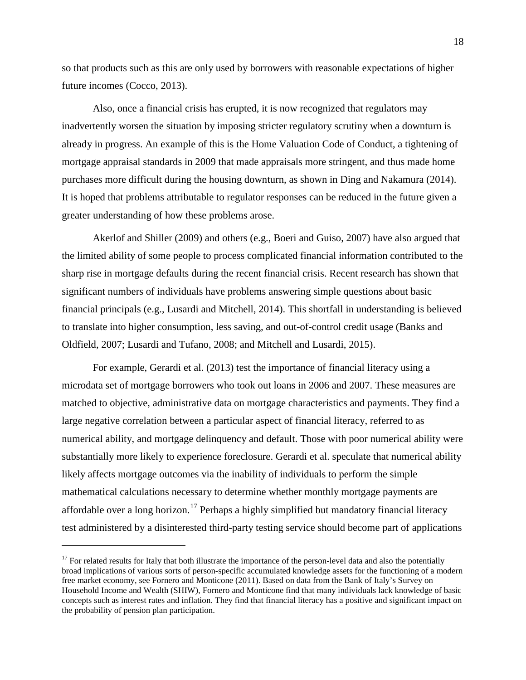so that products such as this are only used by borrowers with reasonable expectations of higher future incomes (Cocco, 2013).

Also, once a financial crisis has erupted, it is now recognized that regulators may inadvertently worsen the situation by imposing stricter regulatory scrutiny when a downturn is already in progress. An example of this is the Home Valuation Code of Conduct, a tightening of mortgage appraisal standards in 2009 that made appraisals more stringent, and thus made home purchases more difficult during the housing downturn, as shown in Ding and Nakamura (2014). It is hoped that problems attributable to regulator responses can be reduced in the future given a greater understanding of how these problems arose.

Akerlof and Shiller (2009) and others (e.g., Boeri and Guiso, 2007) have also argued that the limited ability of some people to process complicated financial information contributed to the sharp rise in mortgage defaults during the recent financial crisis. Recent research has shown that significant numbers of individuals have problems answering simple questions about basic financial principals (e.g., Lusardi and Mitchell, 2014). This shortfall in understanding is believed to translate into higher consumption, less saving, and out-of-control credit usage (Banks and Oldfield, 2007; Lusardi and Tufano, 2008; and Mitchell and Lusardi, 2015).

For example, Gerardi et al. (2013) test the importance of financial literacy using a microdata set of mortgage borrowers who took out loans in 2006 and 2007. These measures are matched to objective, administrative data on mortgage characteristics and payments. They find a large negative correlation between a particular aspect of financial literacy, referred to as numerical ability, and mortgage delinquency and default. Those with poor numerical ability were substantially more likely to experience foreclosure. Gerardi et al. speculate that numerical ability likely affects mortgage outcomes via the inability of individuals to perform the simple mathematical calculations necessary to determine whether monthly mortgage payments are affordable over a long horizon.<sup>[17](#page-18-0)</sup> Perhaps a highly simplified but mandatory financial literacy test administered by a disinterested third-party testing service should become part of applications

<span id="page-18-0"></span> $17$  For related results for Italy that both illustrate the importance of the person-level data and also the potentially broad implications of various sorts of person-specific accumulated knowledge assets for the functioning of a modern free market economy, see Fornero and Monticone (2011). Based on data from the Bank of Italy's Survey on Household Income and Wealth (SHIW), Fornero and Monticone find that many individuals lack knowledge of basic concepts such as interest rates and inflation. They find that financial literacy has a positive and significant impact on the probability of pension plan participation.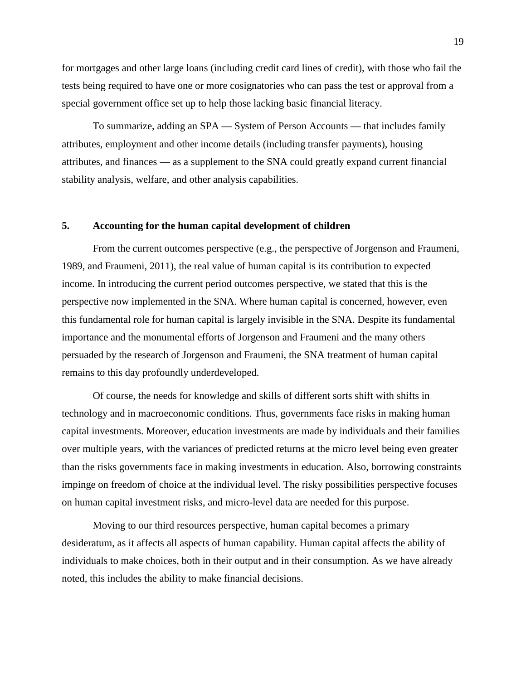for mortgages and other large loans (including credit card lines of credit), with those who fail the tests being required to have one or more cosignatories who can pass the test or approval from a special government office set up to help those lacking basic financial literacy.

To summarize, adding an SPA — System of Person Accounts — that includes family attributes, employment and other income details (including transfer payments), housing attributes, and finances — as a supplement to the SNA could greatly expand current financial stability analysis, welfare, and other analysis capabilities.

## **5. Accounting for the human capital development of children**

From the current outcomes perspective (e.g., the perspective of Jorgenson and Fraumeni, 1989, and Fraumeni, 2011), the real value of human capital is its contribution to expected income. In introducing the current period outcomes perspective, we stated that this is the perspective now implemented in the SNA. Where human capital is concerned, however, even this fundamental role for human capital is largely invisible in the SNA. Despite its fundamental importance and the monumental efforts of Jorgenson and Fraumeni and the many others persuaded by the research of Jorgenson and Fraumeni, the SNA treatment of human capital remains to this day profoundly underdeveloped.

Of course, the needs for knowledge and skills of different sorts shift with shifts in technology and in macroeconomic conditions. Thus, governments face risks in making human capital investments. Moreover, education investments are made by individuals and their families over multiple years, with the variances of predicted returns at the micro level being even greater than the risks governments face in making investments in education. Also, borrowing constraints impinge on freedom of choice at the individual level. The risky possibilities perspective focuses on human capital investment risks, and micro-level data are needed for this purpose.

Moving to our third resources perspective, human capital becomes a primary desideratum, as it affects all aspects of human capability. Human capital affects the ability of individuals to make choices, both in their output and in their consumption. As we have already noted, this includes the ability to make financial decisions.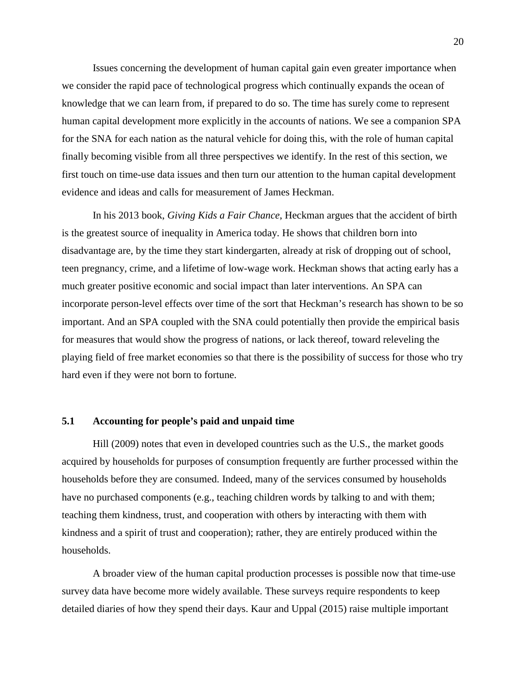Issues concerning the development of human capital gain even greater importance when we consider the rapid pace of technological progress which continually expands the ocean of knowledge that we can learn from, if prepared to do so. The time has surely come to represent human capital development more explicitly in the accounts of nations. We see a companion SPA for the SNA for each nation as the natural vehicle for doing this, with the role of human capital finally becoming visible from all three perspectives we identify. In the rest of this section, we first touch on time-use data issues and then turn our attention to the human capital development evidence and ideas and calls for measurement of James Heckman.

In his 2013 book, *Giving Kids a Fair Chance*, Heckman argues that the accident of birth is the greatest source of inequality in America today. He shows that children born into disadvantage are, by the time they start kindergarten, already at risk of dropping out of school, teen pregnancy, crime, and a lifetime of low-wage work. Heckman shows that acting early has a much greater positive economic and social impact than later interventions. An SPA can incorporate person-level effects over time of the sort that Heckman's research has shown to be so important. And an SPA coupled with the SNA could potentially then provide the empirical basis for measures that would show the progress of nations, or lack thereof, toward releveling the playing field of free market economies so that there is the possibility of success for those who try hard even if they were not born to fortune.

# **5.1 Accounting for people's paid and unpaid time**

Hill (2009) notes that even in developed countries such as the U.S., the market goods acquired by households for purposes of consumption frequently are further processed within the households before they are consumed. Indeed, many of the services consumed by households have no purchased components (e.g., teaching children words by talking to and with them; teaching them kindness, trust, and cooperation with others by interacting with them with kindness and a spirit of trust and cooperation); rather, they are entirely produced within the households.

A broader view of the human capital production processes is possible now that time-use survey data have become more widely available. These surveys require respondents to keep detailed diaries of how they spend their days. Kaur and Uppal (2015) raise multiple important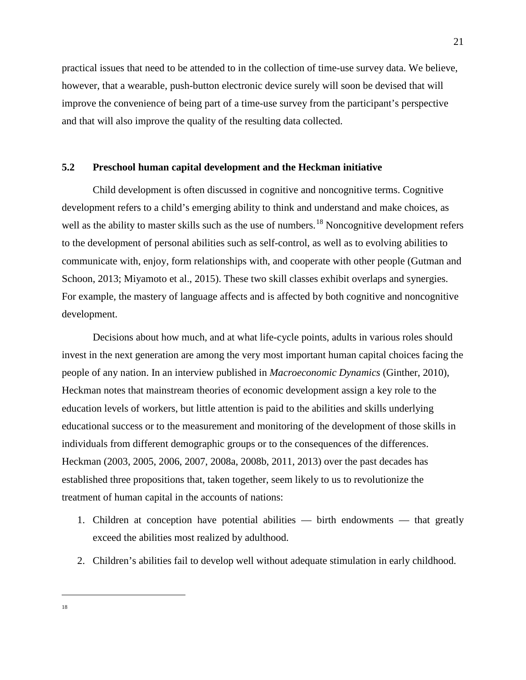practical issues that need to be attended to in the collection of time-use survey data. We believe, however, that a wearable, push-button electronic device surely will soon be devised that will improve the convenience of being part of a time-use survey from the participant's perspective and that will also improve the quality of the resulting data collected.

# **5.2 Preschool human capital development and the Heckman initiative**

Child development is often discussed in cognitive and noncognitive terms. Cognitive development refers to a child's emerging ability to think and understand and make choices, as well as the ability to master skills such as the use of numbers.<sup>[18](#page-21-0)</sup> Noncognitive development refers to the development of personal abilities such as self-control, as well as to evolving abilities to communicate with, enjoy, form relationships with, and cooperate with other people (Gutman and Schoon, 2013; Miyamoto et al., 2015). These two skill classes exhibit overlaps and synergies. For example, the mastery of language affects and is affected by both cognitive and noncognitive development.

Decisions about how much, and at what life-cycle points, adults in various roles should invest in the next generation are among the very most important human capital choices facing the people of any nation. In an interview published in *Macroeconomic Dynamics* (Ginther, 2010), Heckman notes that mainstream theories of economic development assign a key role to the education levels of workers, but little attention is paid to the abilities and skills underlying educational success or to the measurement and monitoring of the development of those skills in individuals from different demographic groups or to the consequences of the differences. Heckman (2003, 2005, 2006, 2007, 2008a, 2008b, 2011, 2013) over the past decades has established three propositions that, taken together, seem likely to us to revolutionize the treatment of human capital in the accounts of nations:

- 1. Children at conception have potential abilities birth endowments that greatly exceed the abilities most realized by adulthood.
- 2. Children's abilities fail to develop well without adequate stimulation in early childhood.

<span id="page-21-0"></span> $\overline{a}$ 18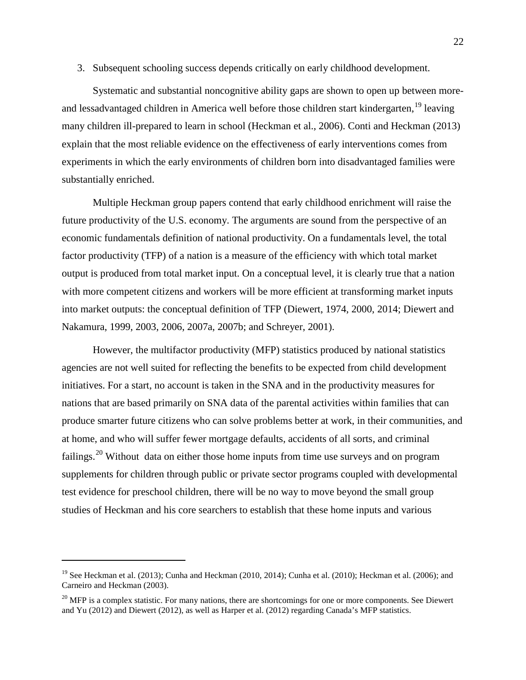3. Subsequent schooling success depends critically on early childhood development.

Systematic and substantial noncognitive ability gaps are shown to open up between more-and lessadvantaged children in America well before those children start kindergarten, <sup>[19](#page-22-0)</sup> leaving many children ill-prepared to learn in school (Heckman et al., 2006). Conti and Heckman (2013) explain that the most reliable evidence on the effectiveness of early interventions comes from experiments in which the early environments of children born into disadvantaged families were substantially enriched.

Multiple Heckman group papers contend that early childhood enrichment will raise the future productivity of the U.S. economy. The arguments are sound from the perspective of an economic fundamentals definition of national productivity. On a fundamentals level, the total factor productivity (TFP) of a nation is a measure of the efficiency with which total market output is produced from total market input. On a conceptual level, it is clearly true that a nation with more competent citizens and workers will be more efficient at transforming market inputs into market outputs: the conceptual definition of TFP (Diewert, 1974, 2000, 2014; Diewert and Nakamura, 1999, 2003, 2006, 2007a, 2007b; and Schreyer, 2001).

However, the multifactor productivity (MFP) statistics produced by national statistics agencies are not well suited for reflecting the benefits to be expected from child development initiatives. For a start, no account is taken in the SNA and in the productivity measures for nations that are based primarily on SNA data of the parental activities within families that can produce smarter future citizens who can solve problems better at work, in their communities, and at home, and who will suffer fewer mortgage defaults, accidents of all sorts, and criminal failings.<sup>[20](#page-22-1)</sup> Without data on either those home inputs from time use surveys and on program supplements for children through public or private sector programs coupled with developmental test evidence for preschool children, there will be no way to move beyond the small group studies of Heckman and his core searchers to establish that these home inputs and various

<span id="page-22-0"></span><sup>&</sup>lt;sup>19</sup> See Heckman et al. (2013); Cunha and Heckman (2010, 2014); Cunha et al. (2010); Heckman et al. (2006); and Carneiro and Heckman (2003).

<span id="page-22-1"></span> $20$  MFP is a complex statistic. For many nations, there are shortcomings for one or more components. See Diewert and Yu (2012) and Diewert (2012), as well as Harper et al. (2012) regarding Canada's MFP statistics.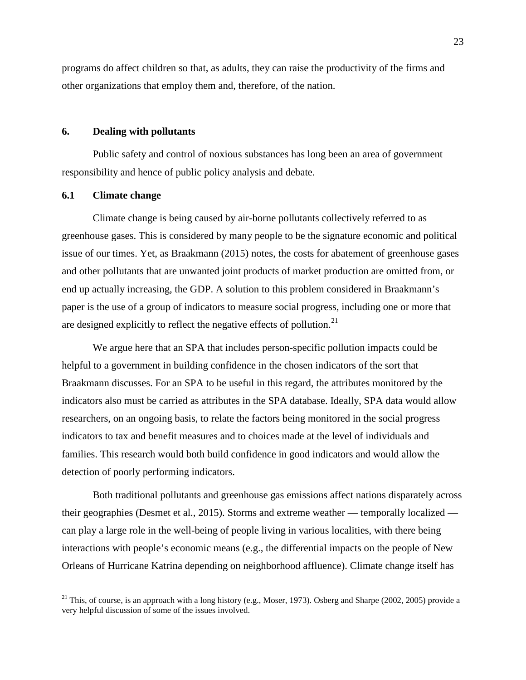programs do affect children so that, as adults, they can raise the productivity of the firms and other organizations that employ them and, therefore, of the nation.

## **6. Dealing with pollutants**

Public safety and control of noxious substances has long been an area of government responsibility and hence of public policy analysis and debate.

#### **6.1 Climate change**

 $\overline{a}$ 

Climate change is being caused by air-borne pollutants collectively referred to as greenhouse gases. This is considered by many people to be the signature economic and political issue of our times. Yet, as Braakmann (2015) notes, the costs for abatement of greenhouse gases and other pollutants that are unwanted joint products of market production are omitted from, or end up actually increasing, the GDP. A solution to this problem considered in Braakmann's paper is the use of a group of indicators to measure social progress, including one or more that are designed explicitly to reflect the negative effects of pollution. $21$ 

We argue here that an SPA that includes person-specific pollution impacts could be helpful to a government in building confidence in the chosen indicators of the sort that Braakmann discusses. For an SPA to be useful in this regard, the attributes monitored by the indicators also must be carried as attributes in the SPA database. Ideally, SPA data would allow researchers, on an ongoing basis, to relate the factors being monitored in the social progress indicators to tax and benefit measures and to choices made at the level of individuals and families. This research would both build confidence in good indicators and would allow the detection of poorly performing indicators.

Both traditional pollutants and greenhouse gas emissions affect nations disparately across their geographies (Desmet et al., 2015). Storms and extreme weather — temporally localized can play a large role in the well-being of people living in various localities, with there being interactions with people's economic means (e.g., the differential impacts on the people of New Orleans of Hurricane Katrina depending on neighborhood affluence). Climate change itself has

<span id="page-23-0"></span><sup>&</sup>lt;sup>21</sup> This, of course, is an approach with a long history (e.g., Moser, 1973). Osberg and Sharpe (2002, 2005) provide a very helpful discussion of some of the issues involved.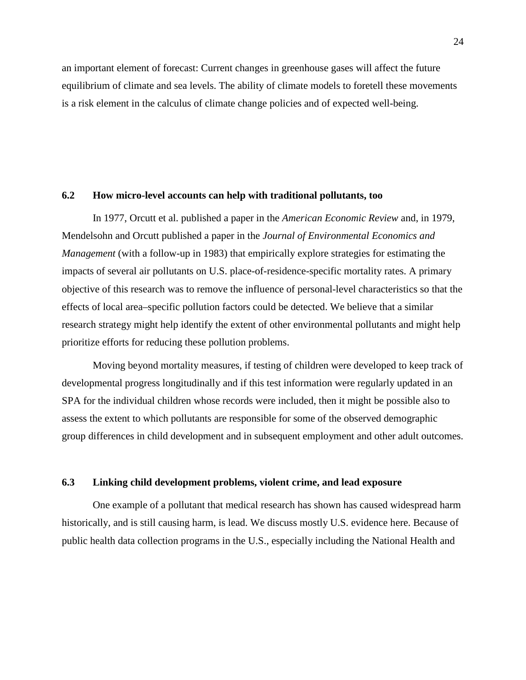an important element of forecast: Current changes in greenhouse gases will affect the future equilibrium of climate and sea levels. The ability of climate models to foretell these movements is a risk element in the calculus of climate change policies and of expected well-being.

# **6.2 How micro-level accounts can help with traditional pollutants, too**

In 1977, Orcutt et al. published a paper in the *American Economic Review* and, in 1979, Mendelsohn and Orcutt published a paper in the *Journal of Environmental Economics and Management* (with a follow-up in 1983) that empirically explore strategies for estimating the impacts of several air pollutants on U.S. place-of-residence-specific mortality rates. A primary objective of this research was to remove the influence of personal-level characteristics so that the effects of local area–specific pollution factors could be detected. We believe that a similar research strategy might help identify the extent of other environmental pollutants and might help prioritize efforts for reducing these pollution problems.

Moving beyond mortality measures, if testing of children were developed to keep track of developmental progress longitudinally and if this test information were regularly updated in an SPA for the individual children whose records were included, then it might be possible also to assess the extent to which pollutants are responsible for some of the observed demographic group differences in child development and in subsequent employment and other adult outcomes.

# **6.3 Linking child development problems, violent crime, and lead exposure**

One example of a pollutant that medical research has shown has caused widespread harm historically, and is still causing harm, is lead. We discuss mostly U.S. evidence here. Because of public health data collection programs in the U.S., especially including the National Health and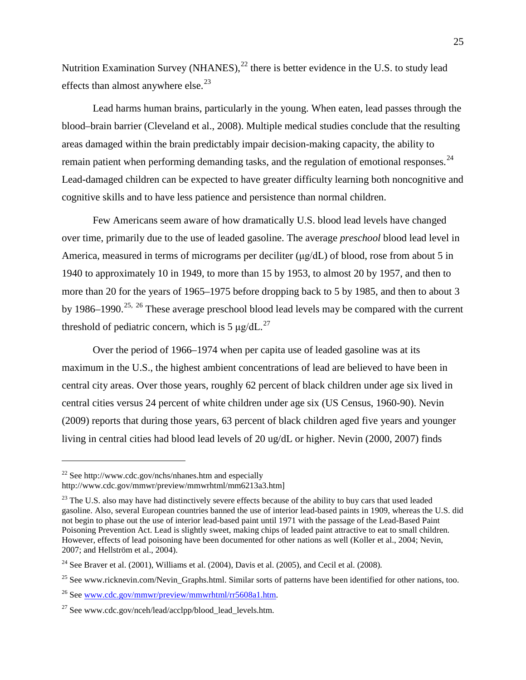Nutrition Examination Survey (NHANES), $^{22}$  $^{22}$  $^{22}$  there is better evidence in the U.S. to study lead effects than almost anywhere else. $^{23}$  $^{23}$  $^{23}$ 

Lead harms human brains, particularly in the young. When eaten, lead passes through the blood–brain barrier (Cleveland et al., 2008). Multiple medical studies conclude that the resulting areas damaged within the brain predictably impair decision-making capacity, the ability to remain patient when performing demanding tasks, and the regulation of emotional responses.  $24$ Lead-damaged children can be expected to have greater difficulty learning both noncognitive and cognitive skills and to have less patience and persistence than normal children.

Few Americans seem aware of how dramatically U.S. blood lead levels have changed over time, primarily due to the use of leaded gasoline. The average *preschool* blood lead level in America, measured in terms of micrograms per deciliter (μg/dL) of blood, rose from about 5 in 1940 to approximately 10 in 1949, to more than 15 by 1953, to almost 20 by 1957, and then to more than 20 for the years of 1965–1975 before dropping back to 5 by 1985, and then to about 3 by 1986–1990.<sup>[25,](#page-25-3) [26](#page-25-4)</sup> These average preschool blood lead levels may be compared with the current threshold of pediatric concern, which is 5  $\mu$ g/dL.<sup>[27](#page-25-5)</sup>

Over the period of 1966–1974 when per capita use of leaded gasoline was at its maximum in the U.S., the highest ambient concentrations of lead are believed to have been in central city areas. Over those years, roughly 62 percent of black children under age six lived in central cities versus 24 percent of white children under age six (US Census, 1960-90). Nevin (2009) reports that during those years, 63 percent of black children aged five years and younger living in central cities had blood lead levels of 20 ug/dL or higher. Nevin (2000, 2007) finds

<span id="page-25-0"></span> $^{22}$  See http://www.cdc.gov/nchs/nhanes.htm and especially http://www.cdc.gov/mmwr/preview/mmwrhtml/mm6213a3.htm]

<span id="page-25-1"></span><sup>&</sup>lt;sup>23</sup> The U.S. also may have had distinctively severe effects because of the ability to buy cars that used leaded gasoline. Also, several European countries banned the use of interior lead-based paints in 1909, whereas the U.S. did not begin to phase out the use of interior lead-based paint until 1971 with the passage of the Lead-Based Paint Poisoning Prevention Act. Lead is slightly sweet, making chips of leaded paint attractive to eat to small children. However, effects of lead poisoning have been documented for other nations as well (Koller et al., 2004; Nevin, 2007; and Hellström et al., 2004).

<span id="page-25-2"></span> $24$  See Braver et al. (2001), Williams et al. (2004), Davis et al. (2005), and Cecil et al. (2008).

<span id="page-25-3"></span><sup>&</sup>lt;sup>25</sup> See www.ricknevin.com/Nevin Graphs.html. Similar sorts of patterns have been identified for other nations, too.

<span id="page-25-4"></span><sup>26</sup> See [www.cdc.gov/mmwr/preview/mmwrhtml/rr5608a1.htm.](http://www.cdc.gov/mmwr/preview/mmwrhtml/rr5608a1.htm)

<span id="page-25-5"></span> $^{27}$  See www.cdc.gov/nceh/lead/acclpp/blood\_lead\_levels.htm.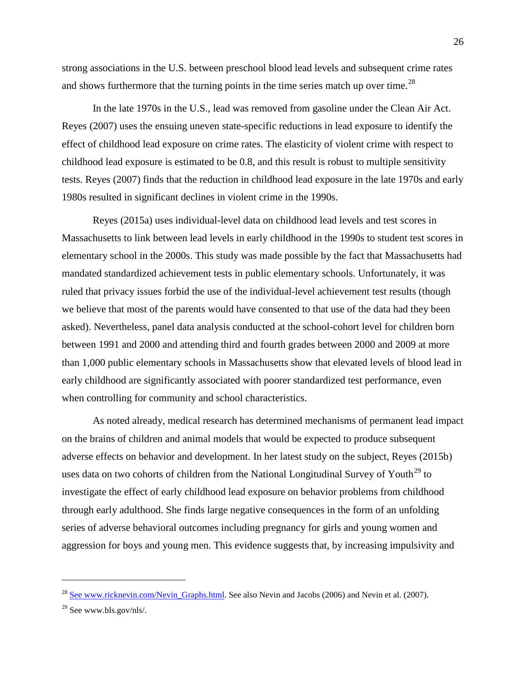strong associations in the U.S. between preschool blood lead levels and subsequent crime rates and shows furthermore that the turning points in the time series match up over time.<sup>[28](#page-26-0)</sup>

In the late 1970s in the U.S., lead was removed from gasoline under the Clean Air Act. Reyes (2007) uses the ensuing uneven state-specific reductions in lead exposure to identify the effect of childhood lead exposure on crime rates. The elasticity of violent crime with respect to childhood lead exposure is estimated to be 0.8, and this result is robust to multiple sensitivity tests. Reyes (2007) finds that the reduction in childhood lead exposure in the late 1970s and early 1980s resulted in significant declines in violent crime in the 1990s.

Reyes (2015a) uses individual-level data on childhood lead levels and test scores in Massachusetts to link between lead levels in early childhood in the 1990s to student test scores in elementary school in the 2000s. This study was made possible by the fact that Massachusetts had mandated standardized achievement tests in public elementary schools. Unfortunately, it was ruled that privacy issues forbid the use of the individual-level achievement test results (though we believe that most of the parents would have consented to that use of the data had they been asked). Nevertheless, panel data analysis conducted at the school-cohort level for children born between 1991 and 2000 and attending third and fourth grades between 2000 and 2009 at more than 1,000 public elementary schools in Massachusetts show that elevated levels of blood lead in early childhood are significantly associated with poorer standardized test performance, even when controlling for community and school characteristics.

As noted already, medical research has determined mechanisms of permanent lead impact on the brains of children and animal models that would be expected to produce subsequent adverse effects on behavior and development. In her latest study on the subject, Reyes (2015b) uses data on two cohorts of children from the National Longitudinal Survey of Youth<sup>[29](#page-26-1)</sup> to investigate the effect of early childhood lead exposure on behavior problems from childhood through early adulthood. She finds large negative consequences in the form of an unfolding series of adverse behavioral outcomes including pregnancy for girls and young women and aggression for boys and young men. This evidence suggests that, by increasing impulsivity and

<span id="page-26-0"></span><sup>&</sup>lt;sup>28</sup> See www.ricknevin.com/Nevin Graphs.html. See also Nevin and Jacobs (2006) and Nevin et al. (2007).

<span id="page-26-1"></span> $29$  See www.bls.gov/nls/.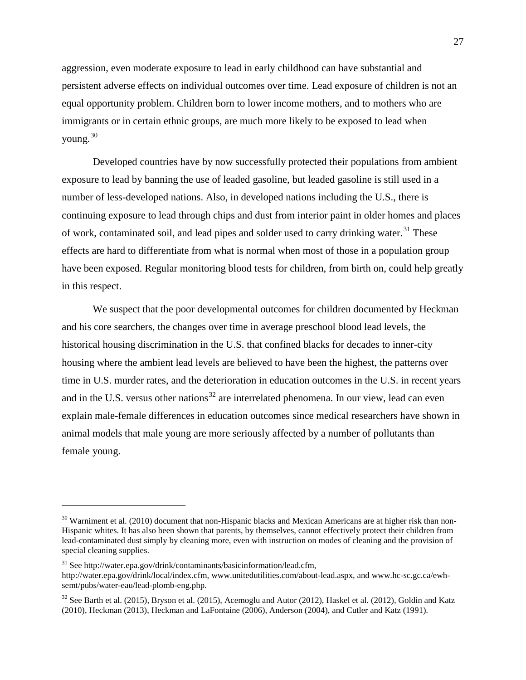aggression, even moderate exposure to lead in early childhood can have substantial and persistent adverse effects on individual outcomes over time. Lead exposure of children is not an equal opportunity problem. Children born to lower income mothers, and to mothers who are immigrants or in certain ethnic groups, are much more likely to be exposed to lead when young.[30](#page-27-0)

Developed countries have by now successfully protected their populations from ambient exposure to lead by banning the use of leaded gasoline, but leaded gasoline is still used in a number of less-developed nations. Also, in developed nations including the U.S., there is continuing exposure to lead through chips and dust from interior paint in older homes and places of work, contaminated soil, and lead pipes and solder used to carry drinking water.<sup>[31](#page-27-1)</sup> These effects are hard to differentiate from what is normal when most of those in a population group have been exposed. Regular monitoring blood tests for children, from birth on, could help greatly in this respect.

We suspect that the poor developmental outcomes for children documented by Heckman and his core searchers, the changes over time in average preschool blood lead levels, the historical housing discrimination in the U.S. that confined blacks for decades to inner-city housing where the ambient lead levels are believed to have been the highest, the patterns over time in U.S. murder rates, and the deterioration in education outcomes in the U.S. in recent years and in the U.S. versus other nations<sup>[32](#page-27-2)</sup> are interrelated phenomena. In our view, lead can even explain male-female differences in education outcomes since medical researchers have shown in animal models that male young are more seriously affected by a number of pollutants than female young.

<span id="page-27-0"></span> $30$  Warniment et al. (2010) document that non-Hispanic blacks and Mexican Americans are at higher risk than non-Hispanic whites. It has also been shown that parents, by themselves, cannot effectively protect their children from lead-contaminated dust simply by cleaning more, even with instruction on modes of cleaning and the provision of special cleaning supplies.

<span id="page-27-1"></span><sup>31</sup> See http://water.epa.gov/drink/contaminants/basicinformation/lead.cfm, http://water.epa.gov/drink/local/index.cfm, www.unitedutilities.com/about-lead.aspx, and www.hc-sc.gc.ca/ewhsemt/pubs/water-eau/lead-plomb-eng.php.

<span id="page-27-2"></span> $32$  See Barth et al. (2015), Bryson et al. (2015), Acemoglu and Autor (2012), Haskel et al. (2012), Goldin and Katz (2010), Heckman (2013), Heckman and LaFontaine (2006), Anderson (2004), and Cutler and Katz (1991).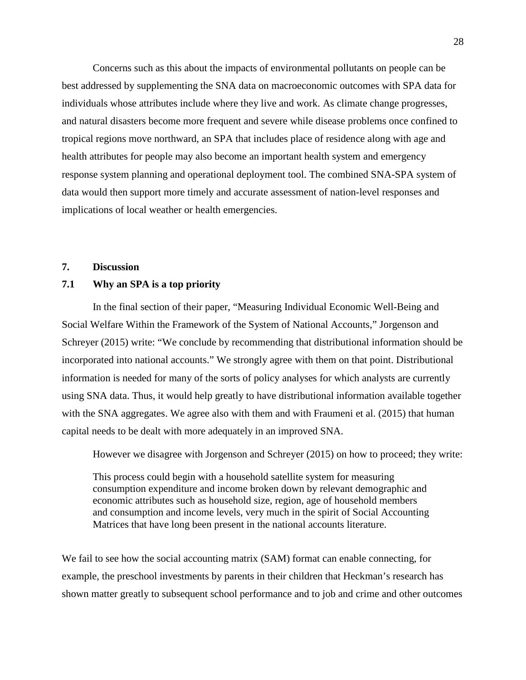Concerns such as this about the impacts of environmental pollutants on people can be best addressed by supplementing the SNA data on macroeconomic outcomes with SPA data for individuals whose attributes include where they live and work. As climate change progresses, and natural disasters become more frequent and severe while disease problems once confined to tropical regions move northward, an SPA that includes place of residence along with age and health attributes for people may also become an important health system and emergency response system planning and operational deployment tool. The combined SNA-SPA system of data would then support more timely and accurate assessment of nation-level responses and implications of local weather or health emergencies.

# **7. Discussion**

## **7.1 Why an SPA is a top priority**

In the final section of their paper, "Measuring Individual Economic Well-Being and Social Welfare Within the Framework of the System of National Accounts," Jorgenson and Schreyer (2015) write: "We conclude by recommending that distributional information should be incorporated into national accounts." We strongly agree with them on that point. Distributional information is needed for many of the sorts of policy analyses for which analysts are currently using SNA data. Thus, it would help greatly to have distributional information available together with the SNA aggregates. We agree also with them and with Fraumeni et al. (2015) that human capital needs to be dealt with more adequately in an improved SNA.

However we disagree with Jorgenson and Schreyer (2015) on how to proceed; they write:

This process could begin with a household satellite system for measuring consumption expenditure and income broken down by relevant demographic and economic attributes such as household size, region, age of household members and consumption and income levels, very much in the spirit of Social Accounting Matrices that have long been present in the national accounts literature.

We fail to see how the social accounting matrix (SAM) format can enable connecting, for example, the preschool investments by parents in their children that Heckman's research has shown matter greatly to subsequent school performance and to job and crime and other outcomes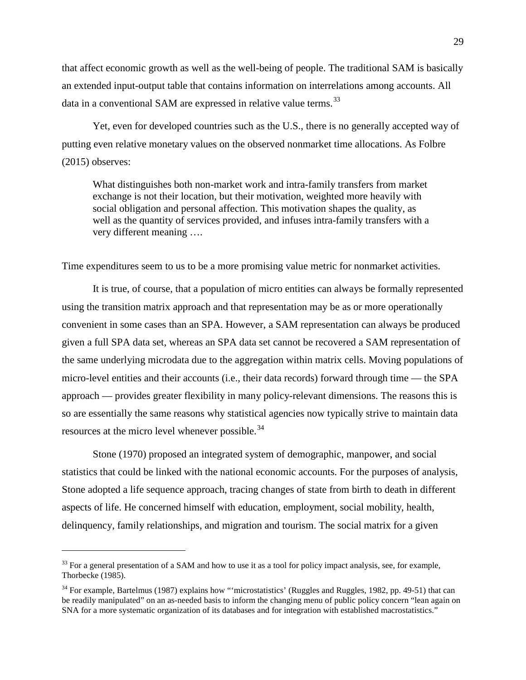that affect economic growth as well as the well-being of people. The traditional SAM is basically an extended input-output table that contains information on interrelations among accounts. All data in a conventional SAM are expressed in relative value terms.<sup>[33](#page-29-0)</sup>

Yet, even for developed countries such as the U.S., there is no generally accepted way of putting even relative monetary values on the observed nonmarket time allocations. As Folbre (2015) observes:

What distinguishes both non-market work and intra-family transfers from market exchange is not their location, but their motivation, weighted more heavily with social obligation and personal affection. This motivation shapes the quality, as well as the quantity of services provided, and infuses intra-family transfers with a very different meaning ….

Time expenditures seem to us to be a more promising value metric for nonmarket activities.

It is true, of course, that a population of micro entities can always be formally represented using the transition matrix approach and that representation may be as or more operationally convenient in some cases than an SPA. However, a SAM representation can always be produced given a full SPA data set, whereas an SPA data set cannot be recovered a SAM representation of the same underlying microdata due to the aggregation within matrix cells. Moving populations of micro-level entities and their accounts (i.e., their data records) forward through time — the SPA approach — provides greater flexibility in many policy-relevant dimensions. The reasons this is so are essentially the same reasons why statistical agencies now typically strive to maintain data resources at the micro level whenever possible.<sup>[34](#page-29-1)</sup>

Stone (1970) proposed an integrated system of demographic, manpower, and social statistics that could be linked with the national economic accounts. For the purposes of analysis, Stone adopted a life sequence approach, tracing changes of state from birth to death in different aspects of life. He concerned himself with education, employment, social mobility, health, delinquency, family relationships, and migration and tourism. The social matrix for a given

<span id="page-29-0"></span><sup>&</sup>lt;sup>33</sup> For a general presentation of a SAM and how to use it as a tool for policy impact analysis, see, for example, Thorbecke (1985).

<span id="page-29-1"></span> $34$  For example, Bartelmus (1987) explains how "'microstatistics' (Ruggles and Ruggles, 1982, pp. 49-51) that can be readily manipulated" on an as-needed basis to inform the changing menu of public policy concern "lean again on SNA for a more systematic organization of its databases and for integration with established macrostatistics."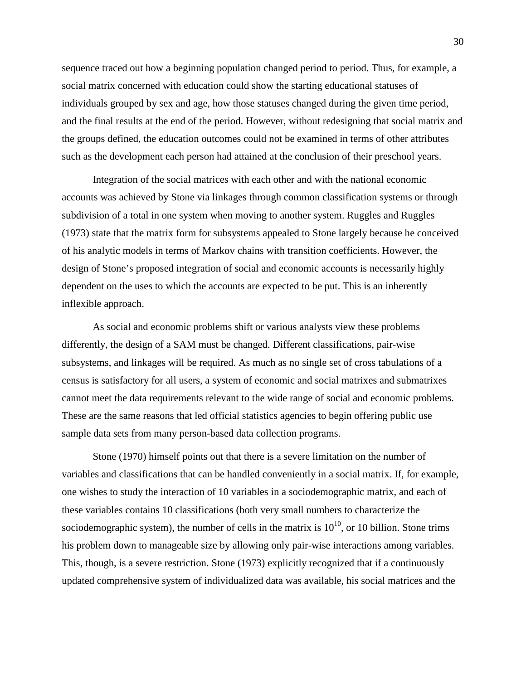sequence traced out how a beginning population changed period to period. Thus, for example, a social matrix concerned with education could show the starting educational statuses of individuals grouped by sex and age, how those statuses changed during the given time period, and the final results at the end of the period. However, without redesigning that social matrix and the groups defined, the education outcomes could not be examined in terms of other attributes such as the development each person had attained at the conclusion of their preschool years.

Integration of the social matrices with each other and with the national economic accounts was achieved by Stone via linkages through common classification systems or through subdivision of a total in one system when moving to another system. Ruggles and Ruggles (1973) state that the matrix form for subsystems appealed to Stone largely because he conceived of his analytic models in terms of Markov chains with transition coefficients. However, the design of Stone's proposed integration of social and economic accounts is necessarily highly dependent on the uses to which the accounts are expected to be put. This is an inherently inflexible approach.

As social and economic problems shift or various analysts view these problems differently, the design of a SAM must be changed. Different classifications, pair-wise subsystems, and linkages will be required. As much as no single set of cross tabulations of a census is satisfactory for all users, a system of economic and social matrixes and submatrixes cannot meet the data requirements relevant to the wide range of social and economic problems. These are the same reasons that led official statistics agencies to begin offering public use sample data sets from many person-based data collection programs.

Stone (1970) himself points out that there is a severe limitation on the number of variables and classifications that can be handled conveniently in a social matrix. If, for example, one wishes to study the interaction of 10 variables in a sociodemographic matrix, and each of these variables contains 10 classifications (both very small numbers to characterize the sociodemographic system), the number of cells in the matrix is  $10^{10}$ , or 10 billion. Stone trims his problem down to manageable size by allowing only pair-wise interactions among variables. This, though, is a severe restriction. Stone (1973) explicitly recognized that if a continuously updated comprehensive system of individualized data was available, his social matrices and the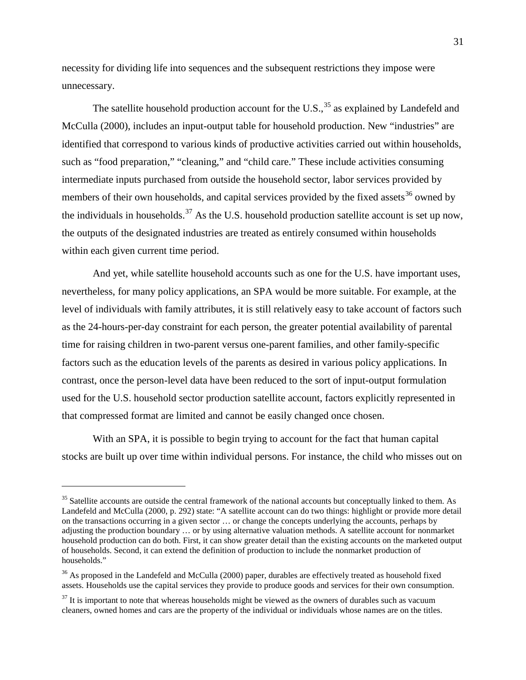necessity for dividing life into sequences and the subsequent restrictions they impose were unnecessary.

The satellite household production account for the U.S.,  $35$  as explained by Landefeld and McCulla (2000), includes an input-output table for household production. New "industries" are identified that correspond to various kinds of productive activities carried out within households, such as "food preparation," "cleaning," and "child care." These include activities consuming intermediate inputs purchased from outside the household sector, labor services provided by members of their own households, and capital services provided by the fixed assets<sup>[36](#page-31-1)</sup> owned by the individuals in households.<sup>[37](#page-31-2)</sup> As the U.S. household production satellite account is set up now, the outputs of the designated industries are treated as entirely consumed within households within each given current time period.

And yet, while satellite household accounts such as one for the U.S. have important uses, nevertheless, for many policy applications, an SPA would be more suitable. For example, at the level of individuals with family attributes, it is still relatively easy to take account of factors such as the 24-hours-per-day constraint for each person, the greater potential availability of parental time for raising children in two-parent versus one-parent families, and other family-specific factors such as the education levels of the parents as desired in various policy applications. In contrast, once the person-level data have been reduced to the sort of input-output formulation used for the U.S. household sector production satellite account, factors explicitly represented in that compressed format are limited and cannot be easily changed once chosen.

With an SPA, it is possible to begin trying to account for the fact that human capital stocks are built up over time within individual persons. For instance, the child who misses out on

<span id="page-31-0"></span><sup>&</sup>lt;sup>35</sup> Satellite accounts are outside the central framework of the national accounts but conceptually linked to them. As Landefeld and McCulla (2000, p. 292) state: "A satellite account can do two things: highlight or provide more detail on the transactions occurring in a given sector … or change the concepts underlying the accounts, perhaps by adjusting the production boundary … or by using alternative valuation methods. A satellite account for nonmarket household production can do both. First, it can show greater detail than the existing accounts on the marketed output of households. Second, it can extend the definition of production to include the nonmarket production of households."

<span id="page-31-1"></span><sup>&</sup>lt;sup>36</sup> As proposed in the Landefeld and McCulla (2000) paper, durables are effectively treated as household fixed assets. Households use the capital services they provide to produce goods and services for their own consumption.

<span id="page-31-2"></span> $37$  It is important to note that whereas households might be viewed as the owners of durables such as vacuum cleaners, owned homes and cars are the property of the individual or individuals whose names are on the titles.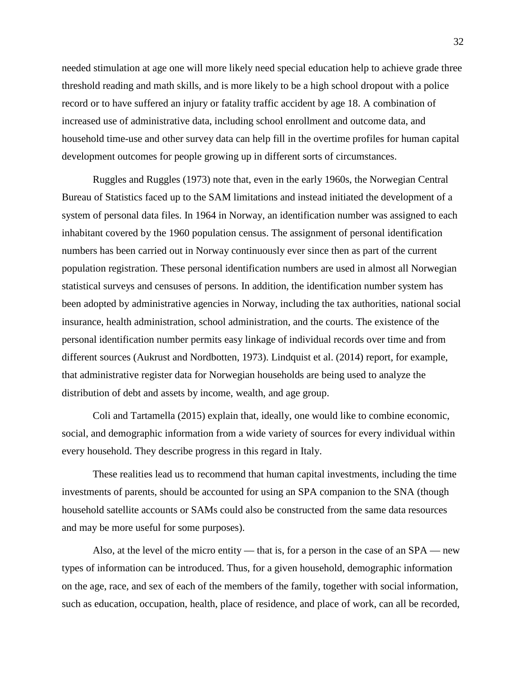needed stimulation at age one will more likely need special education help to achieve grade three threshold reading and math skills, and is more likely to be a high school dropout with a police record or to have suffered an injury or fatality traffic accident by age 18. A combination of increased use of administrative data, including school enrollment and outcome data, and household time-use and other survey data can help fill in the overtime profiles for human capital development outcomes for people growing up in different sorts of circumstances.

Ruggles and Ruggles (1973) note that, even in the early 1960s, the Norwegian Central Bureau of Statistics faced up to the SAM limitations and instead initiated the development of a system of personal data files. In 1964 in Norway, an identification number was assigned to each inhabitant covered by the 1960 population census. The assignment of personal identification numbers has been carried out in Norway continuously ever since then as part of the current population registration. These personal identification numbers are used in almost all Norwegian statistical surveys and censuses of persons. In addition, the identification number system has been adopted by administrative agencies in Norway, including the tax authorities, national social insurance, health administration, school administration, and the courts. The existence of the personal identification number permits easy linkage of individual records over time and from different sources (Aukrust and Nordbotten, 1973). Lindquist et al. (2014) report, for example, that administrative register data for Norwegian households are being used to analyze the distribution of debt and assets by income, wealth, and age group.

Coli and Tartamella (2015) explain that, ideally, one would like to combine economic, social, and demographic information from a wide variety of sources for every individual within every household. They describe progress in this regard in Italy.

These realities lead us to recommend that human capital investments, including the time investments of parents, should be accounted for using an SPA companion to the SNA (though household satellite accounts or SAMs could also be constructed from the same data resources and may be more useful for some purposes).

Also, at the level of the micro entity — that is, for a person in the case of an SPA — new types of information can be introduced. Thus, for a given household, demographic information on the age, race, and sex of each of the members of the family, together with social information, such as education, occupation, health, place of residence, and place of work, can all be recorded,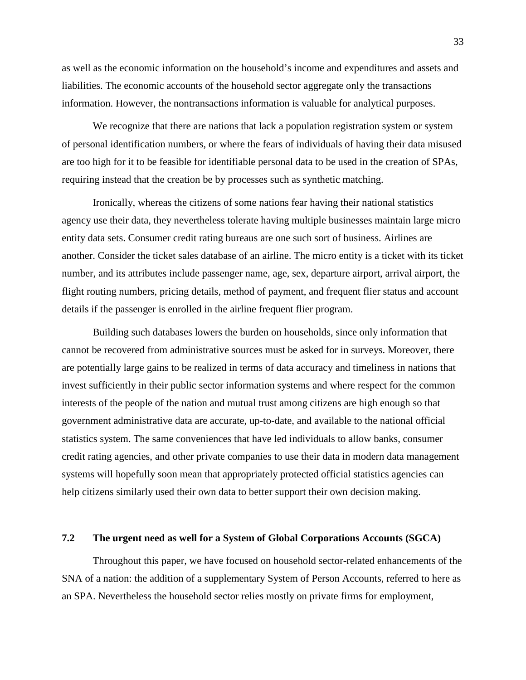as well as the economic information on the household's income and expenditures and assets and liabilities. The economic accounts of the household sector aggregate only the transactions information. However, the nontransactions information is valuable for analytical purposes.

We recognize that there are nations that lack a population registration system or system of personal identification numbers, or where the fears of individuals of having their data misused are too high for it to be feasible for identifiable personal data to be used in the creation of SPAs, requiring instead that the creation be by processes such as synthetic matching.

Ironically, whereas the citizens of some nations fear having their national statistics agency use their data, they nevertheless tolerate having multiple businesses maintain large micro entity data sets. Consumer credit rating bureaus are one such sort of business. Airlines are another. Consider the ticket sales database of an airline. The micro entity is a ticket with its ticket number, and its attributes include passenger name, age, sex, departure airport, arrival airport, the flight routing numbers, pricing details, method of payment, and frequent flier status and account details if the passenger is enrolled in the airline frequent flier program.

Building such databases lowers the burden on households, since only information that cannot be recovered from administrative sources must be asked for in surveys. Moreover, there are potentially large gains to be realized in terms of data accuracy and timeliness in nations that invest sufficiently in their public sector information systems and where respect for the common interests of the people of the nation and mutual trust among citizens are high enough so that government administrative data are accurate, up-to-date, and available to the national official statistics system. The same conveniences that have led individuals to allow banks, consumer credit rating agencies, and other private companies to use their data in modern data management systems will hopefully soon mean that appropriately protected official statistics agencies can help citizens similarly used their own data to better support their own decision making.

# **7.2 The urgent need as well for a System of Global Corporations Accounts (SGCA)**

Throughout this paper, we have focused on household sector-related enhancements of the SNA of a nation: the addition of a supplementary System of Person Accounts, referred to here as an SPA. Nevertheless the household sector relies mostly on private firms for employment,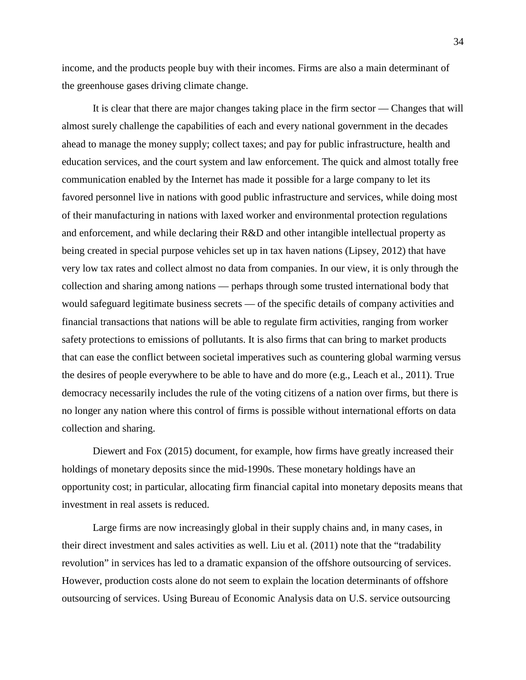income, and the products people buy with their incomes. Firms are also a main determinant of the greenhouse gases driving climate change.

It is clear that there are major changes taking place in the firm sector — Changes that will almost surely challenge the capabilities of each and every national government in the decades ahead to manage the money supply; collect taxes; and pay for public infrastructure, health and education services, and the court system and law enforcement. The quick and almost totally free communication enabled by the Internet has made it possible for a large company to let its favored personnel live in nations with good public infrastructure and services, while doing most of their manufacturing in nations with laxed worker and environmental protection regulations and enforcement, and while declaring their R&D and other intangible intellectual property as being created in special purpose vehicles set up in tax haven nations (Lipsey, 2012) that have very low tax rates and collect almost no data from companies. In our view, it is only through the collection and sharing among nations — perhaps through some trusted international body that would safeguard legitimate business secrets — of the specific details of company activities and financial transactions that nations will be able to regulate firm activities, ranging from worker safety protections to emissions of pollutants. It is also firms that can bring to market products that can ease the conflict between societal imperatives such as countering global warming versus the desires of people everywhere to be able to have and do more (e.g., Leach et al., 2011). True democracy necessarily includes the rule of the voting citizens of a nation over firms, but there is no longer any nation where this control of firms is possible without international efforts on data collection and sharing.

Diewert and Fox (2015) document, for example, how firms have greatly increased their holdings of monetary deposits since the mid-1990s. These monetary holdings have an opportunity cost; in particular, allocating firm financial capital into monetary deposits means that investment in real assets is reduced.

Large firms are now increasingly global in their supply chains and, in many cases, in their direct investment and sales activities as well. Liu et al. (2011) note that the "tradability revolution" in services has led to a dramatic expansion of the offshore outsourcing of services. However, production costs alone do not seem to explain the location determinants of offshore outsourcing of services. Using Bureau of Economic Analysis data on U.S. service outsourcing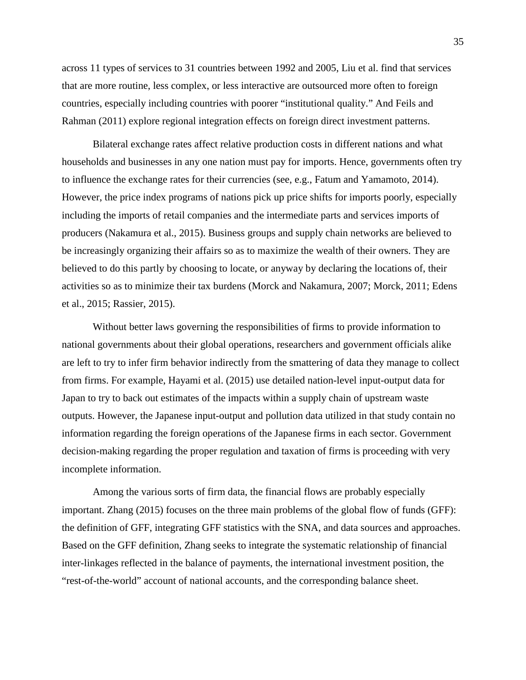across 11 types of services to 31 countries between 1992 and 2005, Liu et al. find that services that are more routine, less complex, or less interactive are outsourced more often to foreign countries, especially including countries with poorer "institutional quality." And Feils and Rahman (2011) explore regional integration effects on foreign direct investment patterns.

Bilateral exchange rates affect relative production costs in different nations and what households and businesses in any one nation must pay for imports. Hence, governments often try to influence the exchange rates for their currencies (see, e.g., Fatum and Yamamoto, 2014). However, the price index programs of nations pick up price shifts for imports poorly, especially including the imports of retail companies and the intermediate parts and services imports of producers (Nakamura et al., 2015). Business groups and supply chain networks are believed to be increasingly organizing their affairs so as to maximize the wealth of their owners. They are believed to do this partly by choosing to locate, or anyway by declaring the locations of, their activities so as to minimize their tax burdens (Morck and Nakamura, 2007; Morck, 2011; Edens et al., 2015; Rassier, 2015).

Without better laws governing the responsibilities of firms to provide information to national governments about their global operations, researchers and government officials alike are left to try to infer firm behavior indirectly from the smattering of data they manage to collect from firms. For example, Hayami et al. (2015) use detailed nation-level input-output data for Japan to try to back out estimates of the impacts within a supply chain of upstream waste outputs. However, the Japanese input-output and pollution data utilized in that study contain no information regarding the foreign operations of the Japanese firms in each sector. Government decision-making regarding the proper regulation and taxation of firms is proceeding with very incomplete information.

Among the various sorts of firm data, the financial flows are probably especially important. Zhang (2015) focuses on the three main problems of the global flow of funds (GFF): the definition of GFF, integrating GFF statistics with the SNA, and data sources and approaches. Based on the GFF definition, Zhang seeks to integrate the systematic relationship of financial inter-linkages reflected in the balance of payments, the international investment position, the "rest-of-the-world" account of national accounts, and the corresponding balance sheet.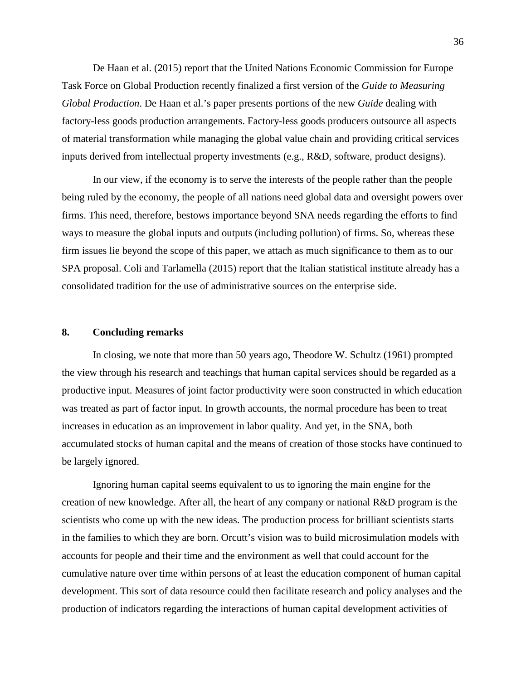De Haan et al. (2015) report that the United Nations Economic Commission for Europe Task Force on Global Production recently finalized a first version of the *Guide to Measuring Global Production*. De Haan et al.'s paper presents portions of the new *Guide* dealing with factory-less goods production arrangements. Factory-less goods producers outsource all aspects of material transformation while managing the global value chain and providing critical services inputs derived from intellectual property investments (e.g., R&D, software, product designs).

In our view, if the economy is to serve the interests of the people rather than the people being ruled by the economy, the people of all nations need global data and oversight powers over firms. This need, therefore, bestows importance beyond SNA needs regarding the efforts to find ways to measure the global inputs and outputs (including pollution) of firms. So, whereas these firm issues lie beyond the scope of this paper, we attach as much significance to them as to our SPA proposal. Coli and Tarlamella (2015) report that the Italian statistical institute already has a consolidated tradition for the use of administrative sources on the enterprise side.

# **8. Concluding remarks**

In closing, we note that more than 50 years ago, Theodore W. Schultz (1961) prompted the view through his research and teachings that human capital services should be regarded as a productive input. Measures of joint factor productivity were soon constructed in which education was treated as part of factor input. In growth accounts, the normal procedure has been to treat increases in education as an improvement in labor quality. And yet, in the SNA, both accumulated stocks of human capital and the means of creation of those stocks have continued to be largely ignored.

Ignoring human capital seems equivalent to us to ignoring the main engine for the creation of new knowledge. After all, the heart of any company or national R&D program is the scientists who come up with the new ideas. The production process for brilliant scientists starts in the families to which they are born. Orcutt's vision was to build microsimulation models with accounts for people and their time and the environment as well that could account for the cumulative nature over time within persons of at least the education component of human capital development. This sort of data resource could then facilitate research and policy analyses and the production of indicators regarding the interactions of human capital development activities of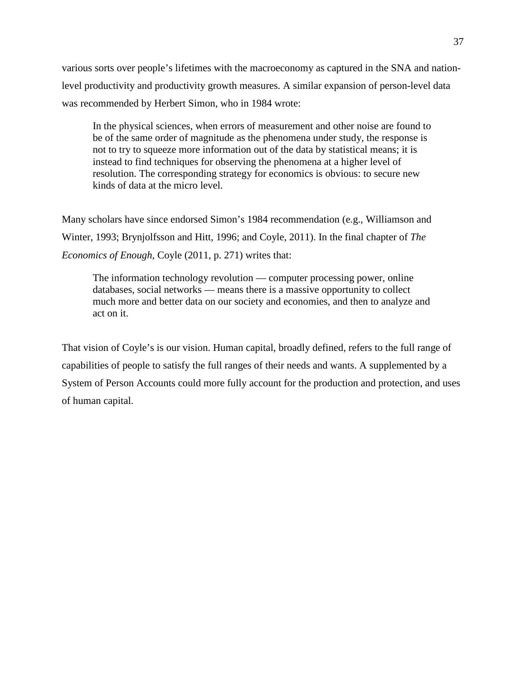various sorts over people's lifetimes with the macroeconomy as captured in the SNA and nationlevel productivity and productivity growth measures. A similar expansion of person-level data was recommended by Herbert Simon, who in 1984 wrote:

In the physical sciences, when errors of measurement and other noise are found to be of the same order of magnitude as the phenomena under study, the response is not to try to squeeze more information out of the data by statistical means; it is instead to find techniques for observing the phenomena at a higher level of resolution. The corresponding strategy for economics is obvious: to secure new kinds of data at the micro level.

Many scholars have since endorsed Simon's 1984 recommendation (e.g., Williamson and Winter, 1993; Brynjolfsson and Hitt, 1996; and Coyle, 2011). In the final chapter of *The Economics of Enough*, Coyle (2011, p. 271) writes that:

The information technology revolution — computer processing power, online databases, social networks — means there is a massive opportunity to collect much more and better data on our society and economies, and then to analyze and act on it.

That vision of Coyle's is our vision. Human capital, broadly defined, refers to the full range of capabilities of people to satisfy the full ranges of their needs and wants. A supplemented by a System of Person Accounts could more fully account for the production and protection, and uses of human capital.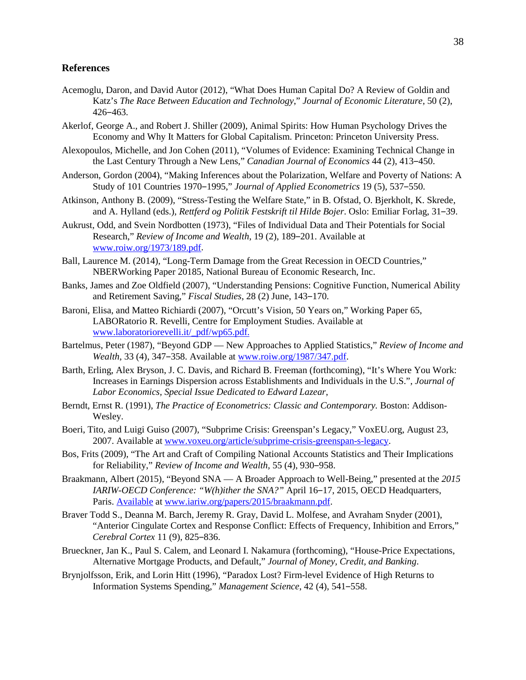# **References**

- Acemoglu, Daron, and David Autor (2012), "What Does Human Capital Do? A Review of Goldin and Katz's *The Race Between Education and Technology*," *Journal of Economic Literature*, 50 (2), 426‒463.
- Akerlof, George A., and Robert J. Shiller (2009), Animal Spirits: How Human Psychology Drives the Economy and Why It Matters for Global Capitalism. Princeton: Princeton University Press.
- Alexopoulos, Michelle, and Jon Cohen (2011), "Volumes of Evidence: Examining Technical Change in the Last Century Through a New Lens," *Canadian Journal of Economics* 44 (2), 413‒450.
- Anderson, Gordon (2004), "Making Inferences about the Polarization, Welfare and Poverty of Nations: A Study of 101 Countries 1970–1995," *Journal of Applied Econometrics* 19 (5), 537–550.
- Atkinson, Anthony B. (2009), "Stress-Testing the Welfare State," in B. Ofstad, O. Bjerkholt, K. Skrede, and A. Hylland (eds.), *Rettferd og Politik Festskrift til Hilde Bojer*. Oslo: Emiliar Forlag, 31‒39.
- Aukrust, Odd, and Svein Nordbotten (1973), "Files of Individual Data and Their Potentials for Social Research," *Review of Income and Wealth*, 19 (2), 189-201. Available at [www.roiw.org/1973/189.pdf.](http://www.roiw.org/1973/189.pdf)
- Ball, Laurence M. (2014), "Long-Term Damage from the Great Recession in OECD Countries," NBERWorking Paper 20185, National Bureau of Economic Research, Inc.
- Banks, James and Zoe Oldfield (2007), "Understanding Pensions: Cognitive Function, Numerical Ability and Retirement Saving," *Fiscal Studies*, 28 (2) June, 143–170.
- Baroni, Elisa, and Matteo Richiardi (2007), "Orcutt's Vision, 50 Years on," Working Paper 65, LABORatorio R. Revelli, Centre for Employment Studies. Available at [www.laboratoriorevelli.it/\\_pdf/wp65.pdf.](http://www.laboratoriorevelli.it/_pdf/wp65.pdf)
- Bartelmus, Peter (1987), "Beyond GDP New Approaches to Applied Statistics," *Review of Income and Wealth*, 33 (4), 347‒358. Available at [www.roiw.org/1987/347.pdf.](http://www.roiw.org/1987/347.pdf)
- Barth, Erling, Alex Bryson, J. C. Davis, and Richard B. Freeman (forthcoming), "It's Where You Work: Increases in Earnings Dispersion across Establishments and Individuals in the U.S.", *Journal of Labor Economics, Special Issue Dedicated to Edward Lazear*,
- Berndt, Ernst R. (1991), *The Practice of Econometrics: Classic and Contemporary.* Boston: Addison-Wesley.
- Boeri, Tito, and Luigi Guiso (2007), "Subprime Crisis: Greenspan's Legacy," VoxEU.org, August 23, 2007. Available at [www.voxeu.org/article/subprime-crisis-greenspan-s-legacy.](http://www.voxeu.org/article/subprime-crisis-greenspan-s-legacy)
- Bos, Frits (2009), "The Art and Craft of Compiling National Accounts Statistics and Their Implications for Reliability," *Review of Income and Wealth*, 55 (4), 930-958.
- Braakmann, Albert (2015), "Beyond SNA A Broader Approach to Well-Being," presented at the *2015 IARIW-OECD Conference: "W(h)ither the SNA?"* April 16‒17, 2015, OECD Headquarters, Paris. Available at [www.iariw.org/papers/2015/braakmann.pdf.](http://www.iariw.org/papers/2015/braakmann.pdf)
- Braver Todd S., Deanna M. Barch, Jeremy R. Gray, David L. Molfese, and Avraham Snyder (2001), "Anterior Cingulate Cortex and Response Conflict: Effects of Frequency, Inhibition and Errors," *Cerebral Cortex* 11 (9), 825‒836.
- Brueckner, Jan K., Paul S. Calem, and Leonard I. Nakamura (forthcoming), "House-Price Expectations, Alternative Mortgage Products, and Default," *Journal of Money, Credit, and Banking*.
- Brynjolfsson, Erik, and Lorin Hitt (1996), "Paradox Lost? Firm-level Evidence of High Returns to Information Systems Spending," *Management Science*, 42 (4), 541–558.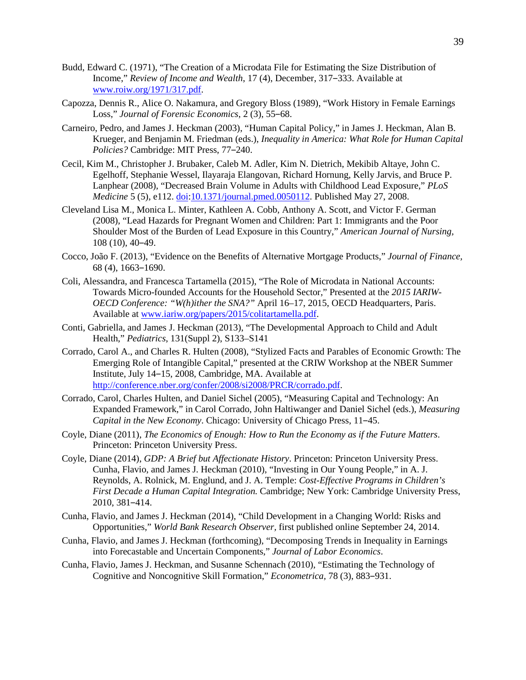- Budd, Edward C. (1971), "The Creation of a Microdata File for Estimating the Size Distribution of Income," *Review of Income and Wealth*, 17 (4), December, 317–333. Available at [www.roiw.org/1971/317.pdf.](http://www.roiw.org/1971/317.pdf)
- Capozza, Dennis R., Alice O. Nakamura, and Gregory Bloss (1989), "Work History in Female Earnings Loss," *Journal of Forensic Economics*, 2(3), 55-68.
- Carneiro, Pedro, and James J. Heckman (2003), "Human Capital Policy," in James J. Heckman, Alan B. Krueger, and Benjamin M. Friedman (eds.), *Inequality in America: What Role for Human Capital Policies?* Cambridge: MIT Press, 77–240.
- Cecil, Kim M., Christopher J. Brubaker, Caleb M. Adler, Kim N. Dietrich, Mekibib Altaye, John C. Egelhoff, Stephanie Wessel, Ilayaraja Elangovan, Richard Hornung, Kelly Jarvis, and Bruce P. Lanphear (2008), "Decreased Brain Volume in Adults with Childhood Lead Exposure," *PLoS Medicine* 5 (5), e112. [doi](http://en.wikipedia.org/wiki/Digital_object_identifier)[:10.1371/journal.pmed.0050112.](http://dx.doi.org/10.1371%2Fjournal.pmed.0050112) Published May 27, 2008.
- Cleveland Lisa M., Monica L. Minter, Kathleen A. Cobb, Anthony A. Scott, and Victor F. German (2008), "Lead Hazards for Pregnant Women and Children: Part 1: Immigrants and the Poor Shoulder Most of the Burden of Lead Exposure in this Country," *American Journal of Nursing,* 108 (10), 40‒49.
- Cocco, João F. (2013), "Evidence on the Benefits of Alternative Mortgage Products," *Journal of Finance,* 68 (4), 1663‒1690.
- Coli, Alessandra, and Francesca Tartamella (2015), "The Role of Microdata in National Accounts: Towards Micro-founded Accounts for the Household Sector," Presented at the *2015 IARIW-OECD Conference: "W(h)ither the SNA?"* April 16–17, 2015, OECD Headquarters, Paris. Available at [www.iariw.org/papers/2015/colitartamella.pdf.](http://www.iariw.org/papers/2015/colitartamella.pdf)
- Conti, Gabriella, and James J. Heckman (2013), "The Developmental Approach to Child and Adult Health," *Pediatrics*, 131(Suppl 2), S133–S141
- Corrado, Carol A., and Charles R. Hulten (2008), "Stylized Facts and Parables of Economic Growth: The Emerging Role of Intangible Capital," presented at the CRIW Workshop at the NBER Summer Institute, July 14–15, 2008, Cambridge, MA. Available at [http://conference.nber.org/confer/2008/si2008/PRCR/corrado.pdf.](http://conference.nber.org/confer/2008/si2008/PRCR/corrado.pdf)
- Corrado, Carol, Charles Hulten, and Daniel Sichel (2005), "Measuring Capital and Technology: An Expanded Framework," in Carol Corrado, John Haltiwanger and Daniel Sichel (eds.), *Measuring Capital in the New Economy. Chicago: University of Chicago Press, 11-45.*
- Coyle, Diane (2011), *The Economics of Enough: How to Run the Economy as if the Future Matters*. Princeton: Princeton University Press.
- Coyle, Diane (2014), *GDP: A Brief but Affectionate History*. Princeton: Princeton University Press. Cunha, Flavio, and James J. Heckman (2010), "Investing in Our Young People," in A. J. Reynolds, A. Rolnick, M. Englund, and J. A. Temple: *Cost-Effective Programs in Children's First Decade a Human Capital Integration.* Cambridge; New York: Cambridge University Press, 2010, 381‒414.
- Cunha, Flavio, and James J. Heckman (2014), "Child Development in a Changing World: Risks and Opportunities," *World Bank Research Observer,* first published online September 24, 2014.
- Cunha, Flavio, and James J. Heckman (forthcoming), "Decomposing Trends in Inequality in Earnings into Forecastable and Uncertain Components," *Journal of Labor Economics*.
- Cunha, Flavio, James J. Heckman, and Susanne Schennach (2010), "Estimating the Technology of Cognitive and Noncognitive Skill Formation," *Econometrica*, 78 (3), 883-931.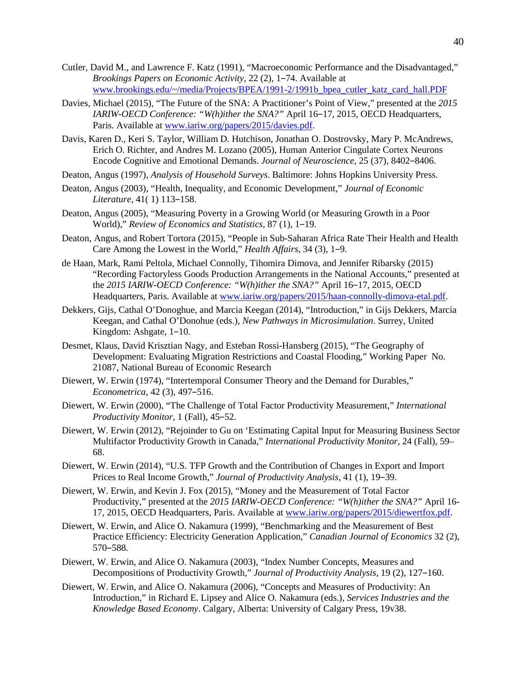- Cutler, David M., and Lawrence F. Katz (1991), "Macroeconomic Performance and the Disadvantaged," *Brookings Papers on Economic Activity*, 22 (2), 1‒74. Available at [www.brookings.edu/~/media/Projects/BPEA/1991-2/1991b\\_bpea\\_cutler\\_katz\\_card\\_hall.PDF](http://www.brookings.edu/%7E/media/Projects/BPEA/1991-2/1991b_bpea_cutler_katz_card_hall.PDF)
- Davies, Michael (2015), "The Future of the SNA: A Practitioner's Point of View," presented at the *2015 IARIW-OECD Conference: "W(h)ither the SNA?"* April 16-17, 2015, OECD Headquarters, Paris. Available a[t www.iariw.org/papers/2015/davies.pdf.](http://www.iariw.org/papers/2015/davies.pdf)
- Davis, Karen D., Keri S. Taylor, William D. Hutchison, Jonathan O. Dostrovsky, Mary P. McAndrews, Erich O. Richter, and Andres M. Lozano (2005), Human Anterior Cingulate Cortex Neurons Encode Cognitive and Emotional Demands. *Journal of Neuroscience*, 25 (37), 8402-8406.
- Deaton, Angus (1997), *Analysis of Household Surveys*. Baltimore: Johns Hopkins University Press.
- Deaton, Angus (2003), "Health, Inequality, and Economic Development," *Journal of Economic Literature,* 41(1) 113-158.
- Deaton, Angus (2005), "Measuring Poverty in a Growing World (or Measuring Growth in a Poor World)," *Review of Economics and Statistics*, 87 (1), 1-19.
- Deaton, Angus, and Robert Tortora (2015), "People in Sub-Saharan Africa Rate Their Health and Health Care Among the Lowest in the World," *Health Affairs*, 34 (3), 1–9.
- de Haan, Mark, Rami Peltola, Michael Connolly, Tihomira Dimova, and Jennifer Ribarsky (2015) "Recording Factoryless Goods Production Arrangements in the National Accounts," presented at the 2015 IARIW-OECD Conference: "W(h)ither the SNA?" April 16-17, 2015, OECD Headquarters, Paris. Available at [www.iariw.org/papers/2015/haan-connolly-dimova-etal.pdf.](http://www.iariw.org/papers/2015/haan-connolly-dimova-etal.pdf)
- Dekkers, Gijs, Cathal O'Donoghue, and Marcia Keegan (2014), "Introduction," in Gijs Dekkers, Marcia Keegan, and Cathal O'Donohue (eds.), *New Pathways in Microsimulation*. Surrey, United Kingdom: Ashgate, 1–10.
- Desmet, Klaus, David Krisztian Nagy, and Esteban Rossi-Hansberg (2015), "The Geography of Development: Evaluating Migration Restrictions and Coastal Flooding," Working Paper No. 21087, National Bureau of Economic Research
- Diewert, W. Erwin (1974), "Intertemporal Consumer Theory and the Demand for Durables," *Econometrica,* 42 (3), 497‒516.
- Diewert, W. Erwin (2000), "The Challenge of Total Factor Productivity Measurement," *International Productivity Monitor, 1 (Fall), 45–52.*
- Diewert, W. Erwin (2012), "Rejoinder to Gu on 'Estimating Capital Input for Measuring Business Sector Multifactor Productivity Growth in Canada," *International Productivity Monitor,* 24 (Fall), 59– 68.
- Diewert, W. Erwin (2014), "U.S. TFP Growth and the Contribution of Changes in Export and Import Prices to Real Income Growth," *Journal of Productivity Analysis*, 41 (1), 19-39.
- Diewert, W. Erwin, and Kevin J. Fox (2015), "Money and the Measurement of Total Factor Productivity," presented at the *2015 IARIW-OECD Conference: "W(h)ither the SNA?"* April 16- 17, 2015, OECD Headquarters, Paris. Available at [www.iariw.org/papers/2015/diewertfox.pdf.](http://www.iariw.org/papers/2015/diewertfox.pdf)
- Diewert, W. Erwin, and Alice O. Nakamura (1999), "Benchmarking and the Measurement of Best Practice Efficiency: Electricity Generation Application," *Canadian Journal of Economics* 32 (2), 570-588.
- Diewert, W. Erwin, and Alice O. Nakamura (2003), "Index Number Concepts, Measures and Decompositions of Productivity Growth," *Journal of Productivity Analysis*, 19 (2), 127–160.
- Diewert, W. Erwin, and Alice O. Nakamura (2006), "Concepts and Measures of Productivity: An Introduction," in Richard E. Lipsey and Alice O. Nakamura (eds.), *Services Industries and the Knowledge Based Economy*. Calgary, Alberta: University of Calgary Press, 19v38.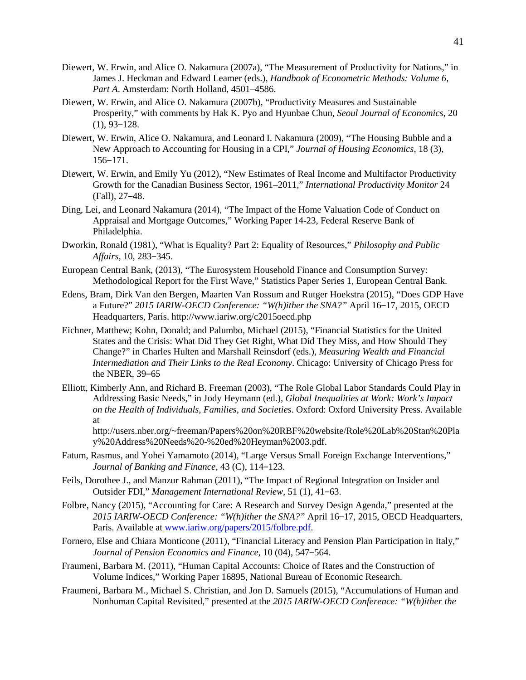- Diewert, W. Erwin, and Alice O. Nakamura (2007a), "The Measurement of Productivity for Nations," in James J. Heckman and Edward Leamer (eds.), *Handbook of Econometric Methods: Volume 6, Part A*. Amsterdam: North Holland, 4501–4586.
- Diewert, W. Erwin, and Alice O. Nakamura (2007b), "Productivity Measures and Sustainable Prosperity," with comments by Hak K. Pyo and Hyunbae Chun, *Seoul Journal of Economics*, 20  $(1), 93-128.$
- Diewert, W. Erwin, Alice O. Nakamura, and Leonard I. Nakamura (2009), "The Housing Bubble and a New Approach to Accounting for Housing in a CPI," *Journal of Housing Economics,* 18 (3), 156‒171.
- Diewert, W. Erwin, and Emily Yu (2012), "New Estimates of Real Income and Multifactor Productivity Growth for the Canadian Business Sector, 1961–2011," *International Productivity Monitor* 24 (Fall), 27‒48.
- Ding, Lei, and Leonard Nakamura (2014), "The Impact of the Home Valuation Code of Conduct on Appraisal and Mortgage Outcomes," Working Paper 14-23, Federal Reserve Bank of Philadelphia.
- Dworkin, Ronald (1981), "What is Equality? Part 2: Equality of Resources," *Philosophy and Public Affairs*, 10, 283‒345.
- European Central Bank, (2013), "The Eurosystem Household Finance and Consumption Survey: Methodological Report for the First Wave," Statistics Paper Series 1, European Central Bank.
- Edens, Bram, Dirk Van den Bergen, Maarten Van Rossum and Rutger Hoekstra (2015), "Does GDP Have a Future?" *2015 IARIW-OECD Conference: "W(h)ither the SNA?"* April 16–17, 2015, OECD Headquarters, Paris. http://www.iariw.org/c2015oecd.php
- Eichner, Matthew; Kohn, Donald; and Palumbo, Michael (2015), "Financial Statistics for the United States and the Crisis: What Did They Get Right, What Did They Miss, and How Should They Change?" in Charles Hulten and Marshall Reinsdorf (eds.), *Measuring Wealth and Financial Intermediation and Their Links to the Real Economy*. Chicago: University of Chicago Press for the NBER,  $39-65$
- Elliott, Kimberly Ann, and Richard B. Freeman (2003), "The Role Global Labor Standards Could Play in Addressing Basic Needs," in Jody Heymann (ed.), *Global Inequalities at Work: Work's Impact on the Health of Individuals, Families, and Societies*. Oxford: Oxford University Press. Available at

http://users.nber.org/~freeman/Papers%20on%20RBF%20website/Role%20Lab%20Stan%20Pla y%20Address%20Needs%20-%20ed%20Heyman%2003.pdf.

- Fatum, Rasmus, and Yohei Yamamoto (2014), "Large Versus Small Foreign Exchange Interventions," *Journal of Banking and Finance,* 43 (C), 114–123.
- Feils, Dorothee J., and Manzur Rahman (2011), "The Impact of Regional Integration on Insider and Outsider FDI," Management International Review, 51 (1), 41–63.
- Folbre, Nancy (2015), "Accounting for Care: A Research and Survey Design Agenda," presented at the 2015 IARIW-OECD Conference: "W(h)ither the SNA?" April 16-17, 2015, OECD Headquarters, Paris. Available a[t www.iariw.org/papers/2015/folbre.pdf.](http://www.iariw.org/papers/2015/folbre.pdf)
- Fornero, Else and Chiara Monticone (2011), "Financial Literacy and Pension Plan Participation in Italy," Journal of Pension Economics and Finance, 10 (04), 547-564.
- Fraumeni, Barbara M. (2011), "Human Capital Accounts: Choice of Rates and the Construction of Volume Indices," Working Paper 16895, National Bureau of Economic Research.
- Fraumeni, Barbara M., Michael S. Christian, and Jon D. Samuels (2015), "Accumulations of Human and Nonhuman Capital Revisited," presented at the *2015 IARIW-OECD Conference: "W(h)ither the*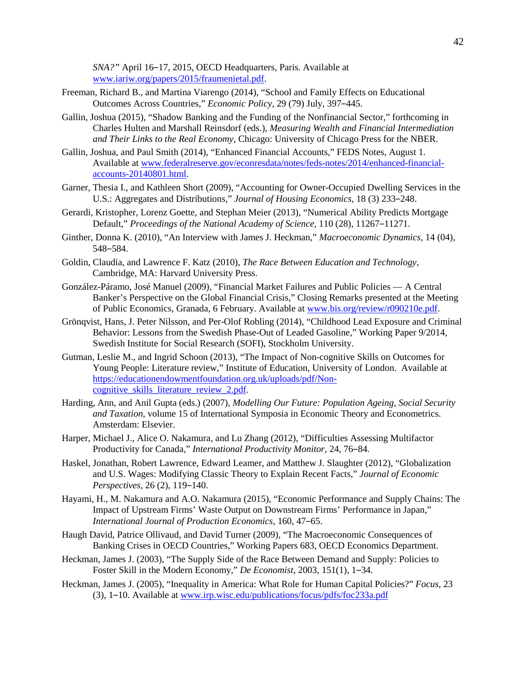*SNA?"* April 16–17, 2015, OECD Headquarters, Paris. Available at [www.iariw.org/papers/2015/fraumenietal.pdf.](http://www.iariw.org/papers/2015/fraumenietal.pdf)

- Freeman, Richard B., and Martina Viarengo (2014), "School and Family Effects on Educational Outcomes Across Countries," *Economic Policy*, 29 (79) July, 397-445.
- Gallin, Joshua (2015), "Shadow Banking and the Funding of the Nonfinancial Sector," forthcoming in Charles Hulten and Marshall Reinsdorf (eds.), *Measuring Wealth and Financial Intermediation and Their Links to the Real Economy*, Chicago: University of Chicago Press for the NBER.
- Gallin, Joshua, and Paul Smith (2014), "Enhanced Financial Accounts," FEDS Notes, August 1. Available at [www.federalreserve.gov/econresdata/notes/feds-notes/2014/enhanced-financial](http://www.federalreserve.gov/econresdata/notes/feds-notes/2014/enhanced-financial-accounts-20140801.html)[accounts-20140801.html.](http://www.federalreserve.gov/econresdata/notes/feds-notes/2014/enhanced-financial-accounts-20140801.html)
- Garner, Thesia I., and Kathleen Short (2009), "Accounting for Owner-Occupied Dwelling Services in the U.S.: Aggregates and Distributions," *Journal of Housing Economics*, 18 (3) 233–248.
- Gerardi, Kristopher, Lorenz Goette, and Stephan Meier (2013), "Numerical Ability Predicts Mortgage Default," *Proceedings of the National Academy of Science*, 110 (28), 11267-11271.
- Ginther, Donna K. (2010), "An Interview with James J. Heckman," *Macroeconomic Dynamics,* 14 (04), 548‒584.
- Goldin, Claudia, and Lawrence F. Katz (2010), *The Race Between Education and Technology*, Cambridge, MA: Harvard University Press.
- González-Páramo, José Manuel (2009), "Financial Market Failures and Public Policies A Central Banker's Perspective on the Global Financial Crisis," Closing Remarks presented at the Meeting of Public Economics, Granada, 6 February. Available at www.bis.org/review/r090210e.pdf.
- Grönqvist, Hans, J. Peter Nilsson, and Per-Olof Robling (2014), "Childhood Lead Exposure and Criminal Behavior: Lessons from the Swedish Phase-Out of Leaded Gasoline," Working Paper 9/2014, Swedish Institute for Social Research (SOFI), Stockholm University.
- Gutman, Leslie M., and Ingrid Schoon (2013), "The Impact of Non-cognitive Skills on Outcomes for Young People: Literature review," Institute of Education, University of London. Available at [https://educationendowmentfoundation.org.uk/uploads/pdf/Non](https://educationendowmentfoundation.org.uk/uploads/pdf/Non-cognitive_skills_literature_review_2.pdf)cognitive skills literature review 2.pdf.
- Harding, Ann, and Anil Gupta (eds.) (2007), *Modelling Our Future: Population Ageing, Social Security and Taxation*, volume 15 of International Symposia in Economic Theory and Econometrics. Amsterdam: Elsevier.
- Harper, Michael J., Alice O. Nakamura, and Lu Zhang (2012), "Difficulties Assessing Multifactor Productivity for Canada," *International Productivity Monitor,* 24, 76‒84.
- Haskel, Jonathan, Robert Lawrence, Edward Leamer, and Matthew J. Slaughter (2012), "Globalization and U.S. Wages: Modifying Classic Theory to Explain Recent Facts," *Journal of Economic Perspectives,* 26 (2), 119–140.
- Hayami, H., M. Nakamura and A.O. Nakamura (2015), "Economic Performance and Supply Chains: The Impact of Upstream Firms' Waste Output on Downstream Firms' Performance in Japan," *International Journal of Production Economics,* 160, 47‒65.
- Haugh David, Patrice Ollivaud, and David Turner (2009), "The Macroeconomic Consequences of Banking Crises in OECD Countries," Working Papers 683, OECD Economics Department.
- Heckman, James J. (2003), "The Supply Side of the Race Between Demand and Supply: Policies to Foster Skill in the Modern Economy," *De Economist*, 2003, 151(1), 1–34.
- Heckman, James J. (2005), "Inequality in America: What Role for Human Capital Policies?" *Focus,* 23 (3), 1–10. Available at [www.irp.wisc.edu/publications/focus/pdfs/foc233a.pdf](http://www.irp.wisc.edu/publications/focus/pdfs/foc233a.pdf)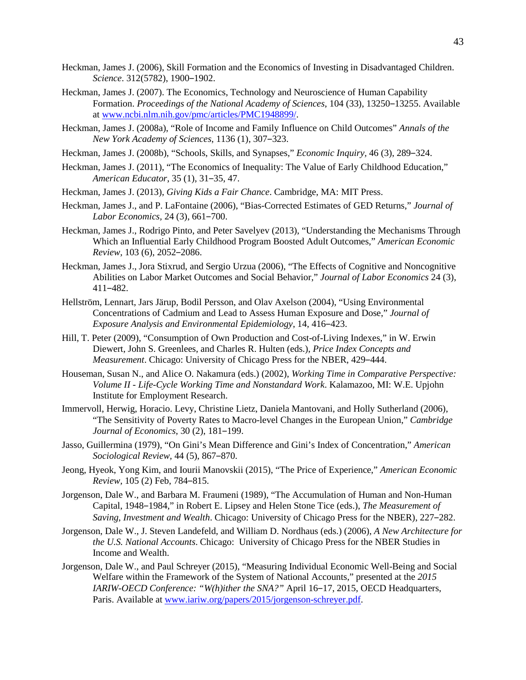- Heckman, James J. (2006), Skill Formation and the Economics of Investing in Disadvantaged Children. *Science*. 312(5782), 1900‒1902.
- Heckman, James J. (2007). The Economics, Technology and Neuroscience of Human Capability Formation. *Proceedings of the National Academy of Sciences*, 104 (33), 13250-13255. Available a[t www.ncbi.nlm.nih.gov/pmc/articles/PMC1948899/.](http://www.ncbi.nlm.nih.gov/pmc/articles/PMC1948899/)
- Heckman, James J. (2008a), "Role of Income and Family Influence on Child Outcomes" *Annals of the New York Academy of Sciences*, 1136 (1), 307‒323.
- Heckman, James J. (2008b), "Schools, Skills, and Synapses," *Economic Inquiry*, 46 (3), 289–324.
- Heckman, James J. (2011), "The Economics of Inequality: The Value of Early Childhood Education," *American Educator*, 35 (1), 31‒35, 47.
- Heckman, James J. (2013), *Giving Kids a Fair Chance*. Cambridge, MA: MIT Press.
- Heckman, James J., and P. LaFontaine (2006), "Bias-Corrected Estimates of GED Returns," *Journal of Labor Economics,* 24 (3), 661-700.
- Heckman, James J., Rodrigo Pinto, and Peter Savelyev (2013), "Understanding the Mechanisms Through Which an Influential Early Childhood Program Boosted Adult Outcomes," *American Economic Review,* 103 (6), 2052‒2086.
- Heckman, James J., Jora Stixrud, and Sergio Urzua (2006), "The Effects of Cognitive and Noncognitive Abilities on Labor Market Outcomes and Social Behavior," *Journal of Labor Economics* 24 (3), 411‒482.
- Hellström, Lennart, Jars Järup, Bodil Persson, and Olav Axelson (2004), "Using Environmental Concentrations of Cadmium and Lead to Assess Human Exposure and Dose," *Journal of Exposure Analysis and Environmental Epidemiology*, 14, 416‒423.
- Hill, T. Peter (2009), "Consumption of Own Production and Cost-of-Living Indexes," in W. Erwin Diewert, John S. Greenlees, and Charles R. Hulten (eds.), *Price Index Concepts and Measurement*. Chicago: University of Chicago Press for the NBER, 429–444.
- Houseman, Susan N., and Alice O. Nakamura (eds.) (2002), *Working Time in Comparative Perspective: Volume II - Life-Cycle Working Time and Nonstandard Work*. Kalamazoo, MI: W.E. Upjohn Institute for Employment Research.
- Immervoll, Herwig, Horacio. Levy, Christine Lietz, Daniela Mantovani, and Holly Sutherland (2006), "The Sensitivity of Poverty Rates to Macro-level Changes in the European Union," *Cambridge Journal of Economics*, 30 (2), 181-199.
- Jasso, Guillermina (1979), "On Gini's Mean Difference and Gini's Index of Concentration," *American Sociological Review,* 44 (5), 867‒870.
- Jeong, Hyeok, Yong Kim, and Iourii Manovskii (2015), "The Price of Experience," *American Economic Review,* 105 (2) Feb, 784‒815.
- Jorgenson, Dale W., and Barbara M. Fraumeni (1989), "The Accumulation of Human and Non-Human Capital, 1948‒1984," in Robert E. Lipsey and Helen Stone Tice (eds.), *The Measurement of Saving, Investment and Wealth.* Chicago: University of Chicago Press for the NBER), 227–282.
- Jorgenson, Dale W., J. Steven Landefeld, and William D. Nordhaus (eds.) (2006), *A New Architecture for the U.S. National Accounts*. Chicago: University of Chicago Press for the NBER Studies in Income and Wealth.
- Jorgenson, Dale W., and Paul Schreyer (2015), "Measuring Individual Economic Well-Being and Social Welfare within the Framework of the System of National Accounts," presented at the *2015 IARIW-OECD Conference:* "W(h)ither the SNA?" April 16-17, 2015, OECD Headquarters, Paris. Available a[t www.iariw.org/papers/2015/jorgenson-schreyer.pdf.](http://www.iariw.org/papers/2015/jorgenson-schreyer.pdf)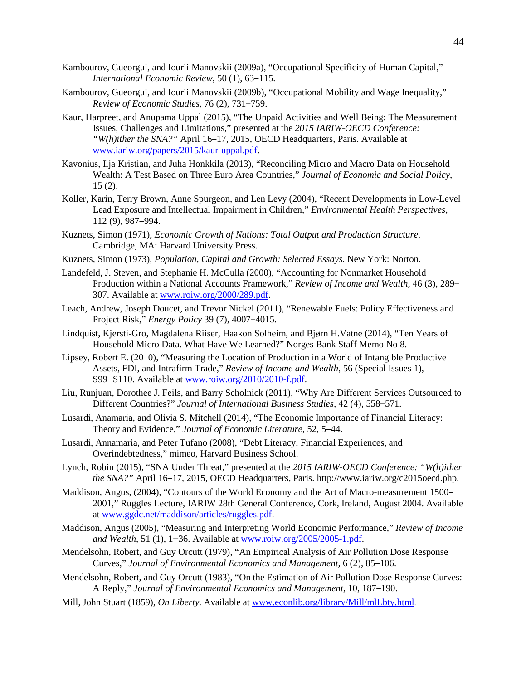- Kambourov, Gueorgui, and Iourii Manovskii (2009a), "Occupational Specificity of Human Capital," *International Economic Review,* 50 (1), 63‒115.
- Kambourov, Gueorgui, and Iourii Manovskii (2009b), "Occupational Mobility and Wage Inequality," *Review of Economic Studies,* 76 (2), 731‒759.
- Kaur, Harpreet, and Anupama Uppal (2015), "The Unpaid Activities and Well Being: The Measurement Issues, Challenges and Limitations," presented at the *2015 IARIW-OECD Conference: "W(h)ither the SNA?"* April 16-17, 2015, OECD Headquarters, Paris. Available at [www.iariw.org/papers/2015/kaur-uppal.pdf.](http://www.iariw.org/papers/2015/kaur-uppal.pdf)
- Kavonius, Ilja Kristian, and Juha Honkkila (2013), "Reconciling Micro and Macro Data on Household Wealth: A Test Based on Three Euro Area Countries," *Journal of Economic and Social Policy*,  $15(2)$ .
- Koller, Karin, Terry Brown, Anne Spurgeon, and Len Levy (2004), "Recent Developments in Low-Level Lead Exposure and Intellectual Impairment in Children," *Environmental Health Perspectives*, 112 (9), 987‒994.
- Kuznets, Simon (1971), *Economic Growth of Nations: Total Output and Production Structure*. Cambridge, MA: Harvard University Press.
- Kuznets, Simon (1973), *Population, Capital and Growth: Selected Essays*. New York: Norton.
- Landefeld, J. Steven, and Stephanie H. McCulla (2000), "Accounting for Nonmarket Household Production within a National Accounts Framework," *Review of Income and Wealth*, 46 (3), 289– 307. Available at [www.roiw.org/2000/289.pdf.](http://www.roiw.org/2000/289.pdf)
- Leach, Andrew, Joseph Doucet, and Trevor Nickel (2011), "Renewable Fuels: Policy Effectiveness and Project Risk," *Energy Policy* 39 (7), 4007‒4015.
- Lindquist, Kjersti-Gro, Magdalena Riiser, Haakon Solheim, and Bjørn H.Vatne (2014), "Ten Years of Household Micro Data. What Have We Learned?" Norges Bank Staff Memo No 8.
- Lipsey, Robert E. (2010), "Measuring the Location of Production in a World of Intangible Productive Assets, FDI, and Intrafirm Trade," *Review of Income and Wealth*, 56 (Special Issues 1), S99−S110. Available at [www.roiw.org/2010/2010-f.pdf.](http://www.roiw.org/2010/2010-f.pdf)
- Liu, Runjuan, Dorothee J. Feils, and Barry Scholnick (2011), "Why Are Different Services Outsourced to Different Countries?" *Journal of International Business Studies*, 42 (4), 558-571.
- Lusardi, Anamaria, and Olivia S. Mitchell (2014), "The Economic Importance of Financial Literacy: Theory and Evidence," *Journal of Economic Literature*, 52, 5-44.
- Lusardi, Annamaria, and Peter Tufano (2008), "Debt Literacy, Financial Experiences, and Overindebtedness," mimeo, Harvard Business School.
- Lynch, Robin (2015), "SNA Under Threat," presented at the *2015 IARIW-OECD Conference: "W(h)ither the SNA?"* April 16–17, 2015, OECD Headquarters, Paris. http://www.iariw.org/c2015oecd.php.
- Maddison, Angus, (2004), "Contours of the World Economy and the Art of Macro-measurement 1500– 2001," Ruggles Lecture, IARIW 28th General Conference, Cork, Ireland, August 2004. Available at [www.ggdc.net/maddison/articles/ruggles.pdf.](http://www.ggdc.net/maddison/articles/ruggles.pdf)
- Maddison, Angus (2005), "Measuring and Interpreting World Economic Performance," *Review of Income and Wealth*, 51 (1), 1−36. Available at [www.roiw.org/2005/2005-1.pdf.](http://www.roiw.org/2005/2005-1.pdf)
- Mendelsohn, Robert, and Guy Orcutt (1979), "An Empirical Analysis of Air Pollution Dose Response Curves," *Journal of Environmental Economics and Management*, 6 (2), 85-106.
- Mendelsohn, Robert, and Guy Orcutt (1983), "On the Estimation of Air Pollution Dose Response Curves: A Reply," *Journal of Environmental Economics and Management*, 10, 187–190.
- Mill, John Stuart (1859), *On Liberty*. Available at [www.econlib.org/library/Mill/mlLbty.html.](http://www.econlib.org/library/Mill/mlLbty.html)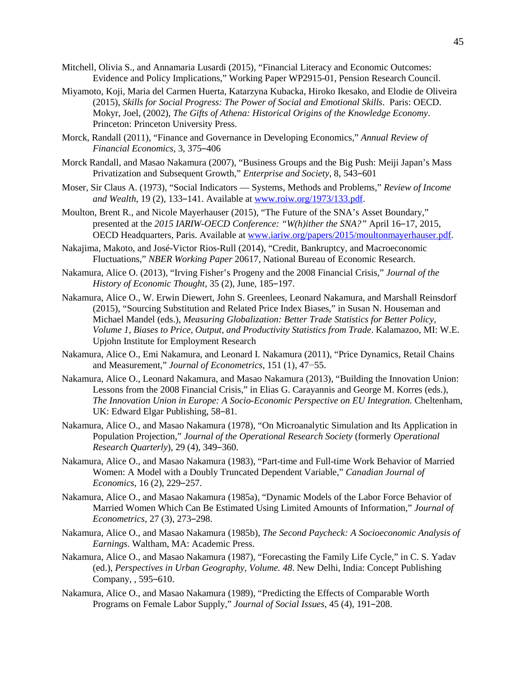- Mitchell, Olivia S., and Annamaria Lusardi (2015), "Financial Literacy and Economic Outcomes: Evidence and Policy Implications," Working Paper WP2915-01, Pension Research Council.
- Miyamoto, Koji, Maria del Carmen Huerta, Katarzyna Kubacka, Hiroko Ikesako, and Elodie de Oliveira (2015), *Skills for Social Progress: The Power of Social and Emotional Skills*. Paris: OECD. Mokyr, Joel, (2002), *The Gifts of Athena: Historical Origins of the Knowledge Economy*. Princeton: Princeton University Press.
- Morck, Randall (2011), "Finance and Governance in Developing Economics," *Annual Review of Financial Economics, 3, 375-406*
- Morck Randall, and Masao Nakamura (2007), "Business Groups and the Big Push: Meiji Japan's Mass Privatization and Subsequent Growth," *Enterprise and Society*, 8, 543–601
- Moser, Sir Claus A. (1973), "Social Indicators Systems, Methods and Problems," *Review of Income and Wealth*, 19 (2), 133‒141. Available at [www.roiw.org/1973/133.pdf.](http://www.roiw.org/1973/133.pdf)
- Moulton, Brent R., and Nicole Mayerhauser (2015), "The Future of the SNA's Asset Boundary," presented at the *2015 IARIW-OECD Conference:* "W(h)ither the SNA?" April 16–17, 2015, OECD Headquarters, Paris. Available at [www.iariw.org/papers/2015/moultonmayerhauser.pdf.](http://www.iariw.org/papers/2015/moultonmayerhauser.pdf)
- Nakajima, Makoto, and José-Victor Rios-Rull (2014), "Credit, Bankruptcy, and Macroeconomic Fluctuations," *NBER Working Paper* 20617, National Bureau of Economic Research.
- Nakamura, Alice O. (2013), "Irving Fisher's Progeny and the 2008 Financial Crisis," *Journal of the History of Economic Thought,* 35 (2), June, 185-197.
- Nakamura, Alice O., W. Erwin Diewert, John S. Greenlees, Leonard Nakamura, and Marshall Reinsdorf (2015), "Sourcing Substitution and Related Price Index Biases," in Susan N. Houseman and Michael Mandel (eds.), *Measuring Globalization: Better Trade Statistics for Better Policy, Volume 1, Biases to Price, Output, and Productivity Statistics from Trade*. Kalamazoo, MI: W.E. Upjohn Institute for Employment Research
- Nakamura, Alice O., Emi Nakamura, and Leonard I. Nakamura (2011), "Price Dynamics, Retail Chains and Measurement," *Journal of Econometrics*, 151 (1), 47−55.
- Nakamura, Alice O., Leonard Nakamura, and Masao Nakamura (2013), "Building the Innovation Union: Lessons from the 2008 Financial Crisis," in Elias G. Carayannis and George M. Korres (eds.), *The Innovation Union in Europe: A Socio-Economic Perspective on EU Integration.* Cheltenham, UK: Edward Elgar Publishing, 58–81.
- Nakamura, Alice O., and Masao Nakamura (1978), "On Microanalytic Simulation and Its Application in Population Projection," *Journal of the Operational Research Society* (formerly *Operational Research Quarterly*), 29 (4), 349‒360.
- Nakamura, Alice O., and Masao Nakamura (1983), "Part-time and Full-time Work Behavior of Married Women: A Model with a Doubly Truncated Dependent Variable," *Canadian Journal of Economics*, 16 (2), 229–257.
- Nakamura, Alice O., and Masao Nakamura (1985a), "Dynamic Models of the Labor Force Behavior of Married Women Which Can Be Estimated Using Limited Amounts of Information," *Journal of Econometrics*, 27 (3), 273‒298.
- Nakamura, Alice O., and Masao Nakamura (1985b), *The Second Paycheck: A Socioeconomic Analysis of Earnings*. Waltham, MA: Academic Press.
- Nakamura, Alice O., and Masao Nakamura (1987), "Forecasting the Family Life Cycle," in C. S. Yadav (ed.), *Perspectives in Urban Geography*, *Volume. 48*. New Delhi, India: Concept Publishing Company, , 595-610.
- Nakamura, Alice O., and Masao Nakamura (1989), "Predicting the Effects of Comparable Worth Programs on Female Labor Supply," *Journal of Social Issues*, 45 (4), 191-208.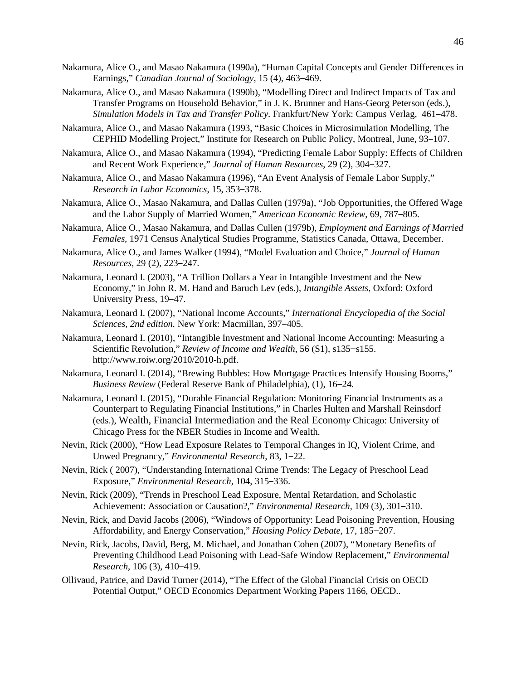- Nakamura, Alice O., and Masao Nakamura (1990a), "Human Capital Concepts and Gender Differences in Earnings," *Canadian Journal of Sociology*, 15 (4), 463-469.
- Nakamura, Alice O., and Masao Nakamura (1990b), "Modelling Direct and Indirect Impacts of Tax and Transfer Programs on Household Behavior," in J. K. Brunner and Hans-Georg Peterson (eds.), *Simulation Models in Tax and Transfer Policy*. Frankfurt/New York: Campus Verlag, 461‒478.
- Nakamura, Alice O., and Masao Nakamura (1993, "Basic Choices in Microsimulation Modelling, The CEPHID Modelling Project," Institute for Research on Public Policy, Montreal, June, 93-107.
- Nakamura, Alice O., and Masao Nakamura (1994), "Predicting Female Labor Supply: Effects of Children and Recent Work Experience," *Journal of Human Resources*, 29 (2), 304‒327.
- Nakamura, Alice O., and Masao Nakamura (1996), "An Event Analysis of Female Labor Supply," *Research in Labor Economics*, 15, 353‒378.
- Nakamura, Alice O., Masao Nakamura, and Dallas Cullen (1979a), "Job Opportunities, the Offered Wage and the Labor Supply of Married Women," *American Economic Review*, 69, 787–805.
- Nakamura, Alice O., Masao Nakamura, and Dallas Cullen (1979b), *Employment and Earnings of Married Females*, 1971 Census Analytical Studies Programme, Statistics Canada, Ottawa, December.
- Nakamura, Alice O., and James Walker (1994), "Model Evaluation and Choice," *Journal of Human Resources*, 29 (2), 223‒247.
- Nakamura, Leonard I. (2003), "A Trillion Dollars a Year in Intangible Investment and the New Economy," in John R. M. Hand and Baruch Lev (eds.), *Intangible Assets*, Oxford: Oxford University Press, 19–47.
- Nakamura, Leonard I. (2007), "National Income Accounts," *International Encyclopedia of the Social Sciences, 2nd edition.* New York: Macmillan, 397–405.
- Nakamura, Leonard I. (2010), "Intangible Investment and National Income Accounting: Measuring a Scientific Revolution," *Review of Income and Wealth,* 56 (S1), s135−s155. http://www.roiw.org/2010/2010-h.pdf.
- Nakamura, Leonard I. (2014), "Brewing Bubbles: How Mortgage Practices Intensify Housing Booms," *Business Review* (Federal Reserve Bank of Philadelphia), (1), 16‒24.
- Nakamura, Leonard I. (2015), "Durable Financial Regulation: Monitoring Financial Instruments as a Counterpart to Regulating Financial Institutions," in Charles Hulten and Marshall Reinsdorf (eds.), Wealth, Financial Intermediation and the Real Econom*y* Chicago: University of Chicago Press for the NBER Studies in Income and Wealth.
- Nevin, Rick (2000), "How Lead Exposure Relates to Temporal Changes in IQ, Violent Crime, and Unwed Pregnancy," *Environmental Research*, 83, 1‒22.
- Nevin, Rick ( 2007), "Understanding International Crime Trends: The Legacy of Preschool Lead Exposure," *Environmental Research*, 104, 315-336.
- Nevin, Rick (2009), "Trends in Preschool Lead Exposure, Mental Retardation, and Scholastic Achievement: Association or Causation?," *Environmental Research,* 109 (3), 301‒310.
- Nevin, Rick, and David Jacobs (2006), "Windows of Opportunity: Lead Poisoning Prevention, Housing Affordability, and Energy Conservation," *Housing Policy Debate,* 17, 185−207.
- Nevin, Rick, Jacobs, David, Berg, M. Michael, and Jonathan Cohen (2007), "Monetary Benefits of Preventing Childhood Lead Poisoning with Lead-Safe Window Replacement," *Environmental Research*, 106 (3), 410‒419.
- Ollivaud, Patrice, and David Turner (2014), "The Effect of the Global Financial Crisis on OECD Potential Output," OECD Economics Department Working Papers 1166, OECD..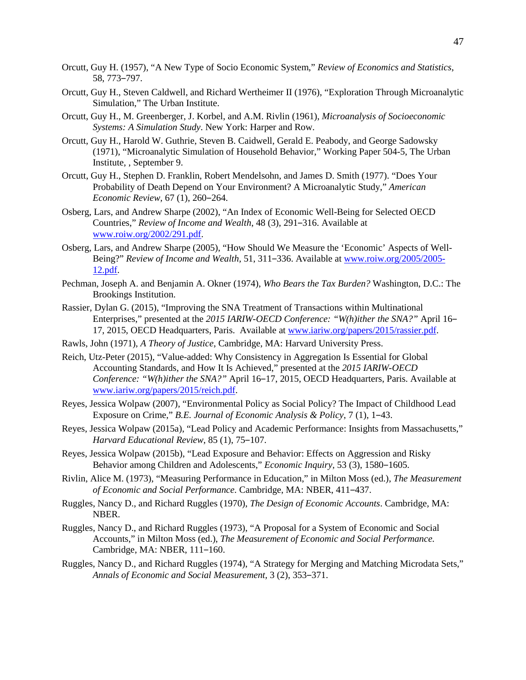- Orcutt, Guy H. (1957), "A New Type of Socio Economic System," *Review of Economics and Statistics*, 58, 773-797.
- Orcutt, Guy H., Steven Caldwell, and Richard Wertheimer II (1976), "Exploration Through Microanalytic Simulation," The Urban Institute.
- Orcutt, Guy H., M. Greenberger, J. Korbel, and A.M. Rivlin (1961), *Microanalysis of Socioeconomic Systems: A Simulation Study*. New York: Harper and Row.
- Orcutt, Guy H., Harold W. Guthrie, Steven B. Caidwell, Gerald E. Peabody, and George Sadowsky (1971), "Microanalytic Simulation of Household Behavior," Working Paper 504-5, The Urban Institute, , September 9.
- Orcutt, Guy H., Stephen D. Franklin, Robert Mendelsohn, and James D. Smith (1977). "Does Your Probability of Death Depend on Your Environment? A Microanalytic Study," *American Economic Review,* 67 (1), 260‒264.
- Osberg, Lars, and Andrew Sharpe (2002), "An Index of Economic Well-Being for Selected OECD Countries," *Review of Income and Wealth*, 48 (3), 291-316. Available at [www.roiw.org/2002/291.pdf.](http://www.roiw.org/2002/291.pdf)
- Osberg, Lars, and Andrew Sharpe (2005), "How Should We Measure the 'Economic' Aspects of Well-Being?" *Review of Income and Wealth*, 51, 311–336. Available at [www.roiw.org/2005/2005-](http://www.roiw.org/2005/2005-12.pdf) [12.pdf.](http://www.roiw.org/2005/2005-12.pdf)
- Pechman, Joseph A. and Benjamin A. Okner (1974), *Who Bears the Tax Burden?* Washington, D.C.: The Brookings Institution.
- Rassier, Dylan G. (2015), "Improving the SNA Treatment of Transactions within Multinational Enterprises," presented at the 2015 IARIW-OECD Conference: "W(h)ither the SNA?" April 16– 17, 2015, OECD Headquarters, Paris. Available at [www.iariw.org/papers/2015/rassier.pdf.](http://www.iariw.org/papers/2015/rassier.pdf)
- Rawls, John (1971), *A Theory of Justice*, Cambridge, MA: Harvard University Press.
- Reich, Utz-Peter (2015), "Value-added: Why Consistency in Aggregation Is Essential for Global Accounting Standards, and How It Is Achieved," presented at the *2015 IARIW-OECD Conference: "W(h)ither the SNA?"* April 16-17, 2015, OECD Headquarters, Paris. Available at [www.iariw.org/papers/2015/reich.pdf.](http://www.iariw.org/papers/2015/reich.pdf)
- Reyes, Jessica Wolpaw (2007), "Environmental Policy as Social Policy? The Impact of Childhood Lead Exposure on Crime," *B.E. Journal of Economic Analysis & Policy*, 7 (1), 1‒43.
- Reyes, Jessica Wolpaw (2015a), "Lead Policy and Academic Performance: Insights from Massachusetts," *Harvard Educational Review, 85 (1), 75-107.*
- Reyes, Jessica Wolpaw (2015b), "Lead Exposure and Behavior: Effects on Aggression and Risky Behavior among Children and Adolescents," *Economic Inquiry*, 53 (3), 1580–1605.
- Rivlin, Alice M. (1973), "Measuring Performance in Education," in Milton Moss (ed.), *The Measurement of Economic and Social Performance.* Cambridge, MA: NBER, 411‒437.
- Ruggles, Nancy D., and Richard Ruggles (1970), *The Design of Economic Accounts*. Cambridge, MA: NBER.
- Ruggles, Nancy D., and Richard Ruggles (1973), "A Proposal for a System of Economic and Social Accounts," in Milton Moss (ed.), *The Measurement of Economic and Social Performance.* Cambridge, MA: NBER, 111-160.
- Ruggles, Nancy D., and Richard Ruggles (1974), "A Strategy for Merging and Matching Microdata Sets," *Annals of Economic and Social Measurement,* 3 (2), 353‒371.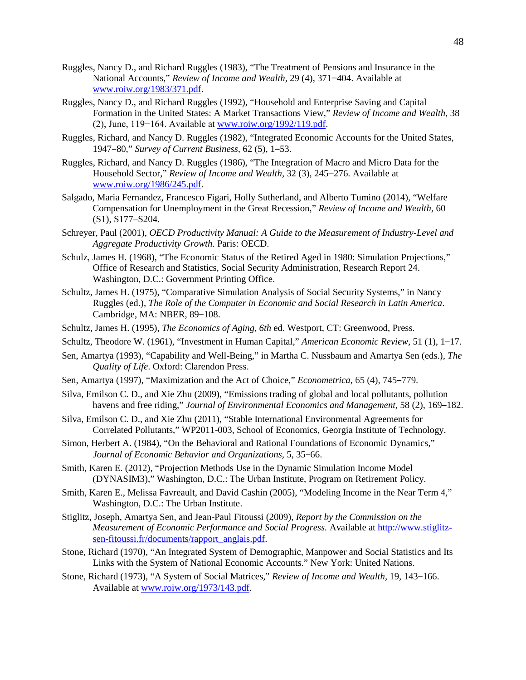- Ruggles, Nancy D., and Richard Ruggles (1983), "The Treatment of Pensions and Insurance in the National Accounts," *Review of Income and Wealth,* 29 (4), 371−404. Available at [www.roiw.org/1983/371.pdf.](http://www.roiw.org/1983/371.pdf)
- Ruggles, Nancy D., and Richard Ruggles (1992), "Household and Enterprise Saving and Capital Formation in the United States: A Market Transactions View," *Review of Income and Wealth*, 38 (2), June, 119−164. Available at [www.roiw.org/1992/119.pdf.](http://www.roiw.org/1992/119.pdf)
- Ruggles, Richard, and Nancy D. Ruggles (1982), "Integrated Economic Accounts for the United States, 1947‒80," *Survey of Current Business,* 62 (5), 1‒53.
- Ruggles, Richard, and Nancy D. Ruggles (1986), "The Integration of Macro and Micro Data for the Household Sector," *Review of Income and Wealth,* 32 (3), 245−276. Available at [www.roiw.org/1986/245.pdf.](http://www.roiw.org/1986/245.pdf)
- Salgado, Maria Fernandez, Francesco Figari, Holly Sutherland, and Alberto Tumino (2014), "Welfare Compensation for Unemployment in the Great Recession," *Review of Income and Wealth,* 60 (S1), S177–S204.
- Schreyer, Paul (2001), *OECD Productivity Manual: A Guide to the Measurement of Industry-Level and Aggregate Productivity Growth*. Paris: OECD.
- Schulz, James H. (1968), "The Economic Status of the Retired Aged in 1980: Simulation Projections," Office of Research and Statistics, Social Security Administration, Research Report 24. Washington, D.C.: Government Printing Office.
- Schultz, James H. (1975), "Comparative Simulation Analysis of Social Security Systems," in Nancy Ruggles (ed.), *The Role of the Computer in Economic and Social Research in Latin America*. Cambridge, MA: NBER, 89-108.
- Schultz, James H. (1995), *The Economics of Aging, 6th* ed. Westport, CT: Greenwood, Press.
- Schultz, Theodore W. (1961), "Investment in Human Capital," *American Economic Review*, 51 (1), 1–17.
- Sen, Amartya (1993), "Capability and Well-Being," in Martha C. Nussbaum and Amartya Sen (eds.), *The Quality of Life*. Oxford: Clarendon Press.
- Sen, Amartya (1997), "Maximization and the Act of Choice," *Econometrica*, 65 (4), 745–779.
- Silva, Emilson C. D., and Xie Zhu (2009), "Emissions trading of global and local pollutants, pollution havens and free riding," Journal of *Environmental Economics and Management*, 58 (2), 169-182.
- Silva, Emilson C. D., and Xie Zhu (2011), "Stable International Environmental Agreements for Correlated Pollutants," WP2011-003, School of Economics, Georgia Institute of Technology.
- Simon, Herbert A. (1984), "On the Behavioral and Rational Foundations of Economic Dynamics," *Journal of Economic Behavior and Organizations,* 5, 35‒66.
- Smith, Karen E. (2012), "Projection Methods Use in the Dynamic Simulation Income Model (DYNASIM3)," Washington, D.C.: The Urban Institute, Program on Retirement Policy.
- Smith, Karen E., Melissa Favreault, and David Cashin (2005), "Modeling Income in the Near Term 4," Washington, D.C.: The Urban Institute.
- Stiglitz, Joseph, Amartya Sen, and Jean-Paul Fitoussi (2009)*, Report by the Commission on the Measurement of Economic Performance and Social Progress.* Available at [http://www.stiglitz](http://www.stiglitz-sen-fitoussi.fr/documents/rapport_anglais.pdf)[sen-fitoussi.fr/documents/rapport\\_anglais.pdf.](http://www.stiglitz-sen-fitoussi.fr/documents/rapport_anglais.pdf)
- Stone, Richard (1970), "An Integrated System of Demographic, Manpower and Social Statistics and Its Links with the System of National Economic Accounts." New York: United Nations.
- Stone, Richard (1973), "A System of Social Matrices," *Review of Income and Wealth*, 19, 143-166. Available at [www.roiw.org/1973/143.pdf.](http://www.roiw.org/1973/143.pdf)